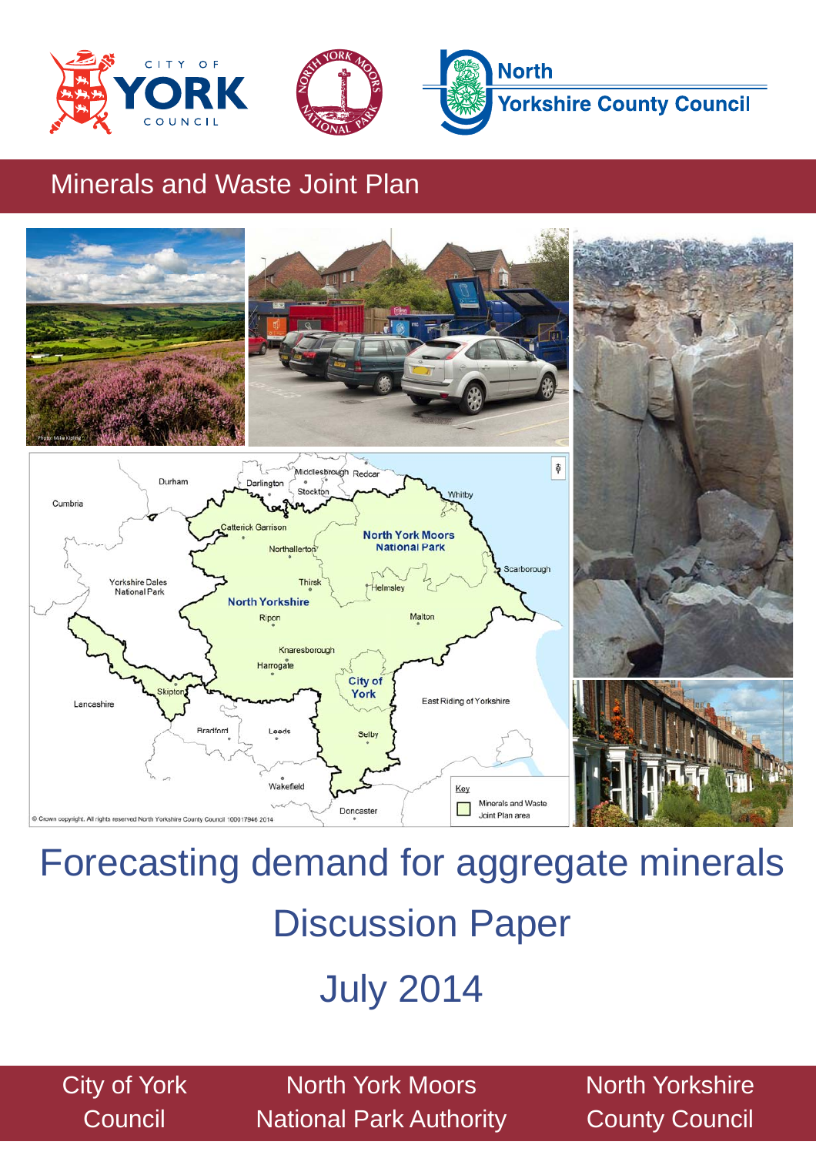





## Minerals and Waste Joint Plan



# Forecasting demand for aggregate minerals Discussion Paper

# July 2014

City of York **Council** 

North York Moors National Park Authority North Yorkshire County Council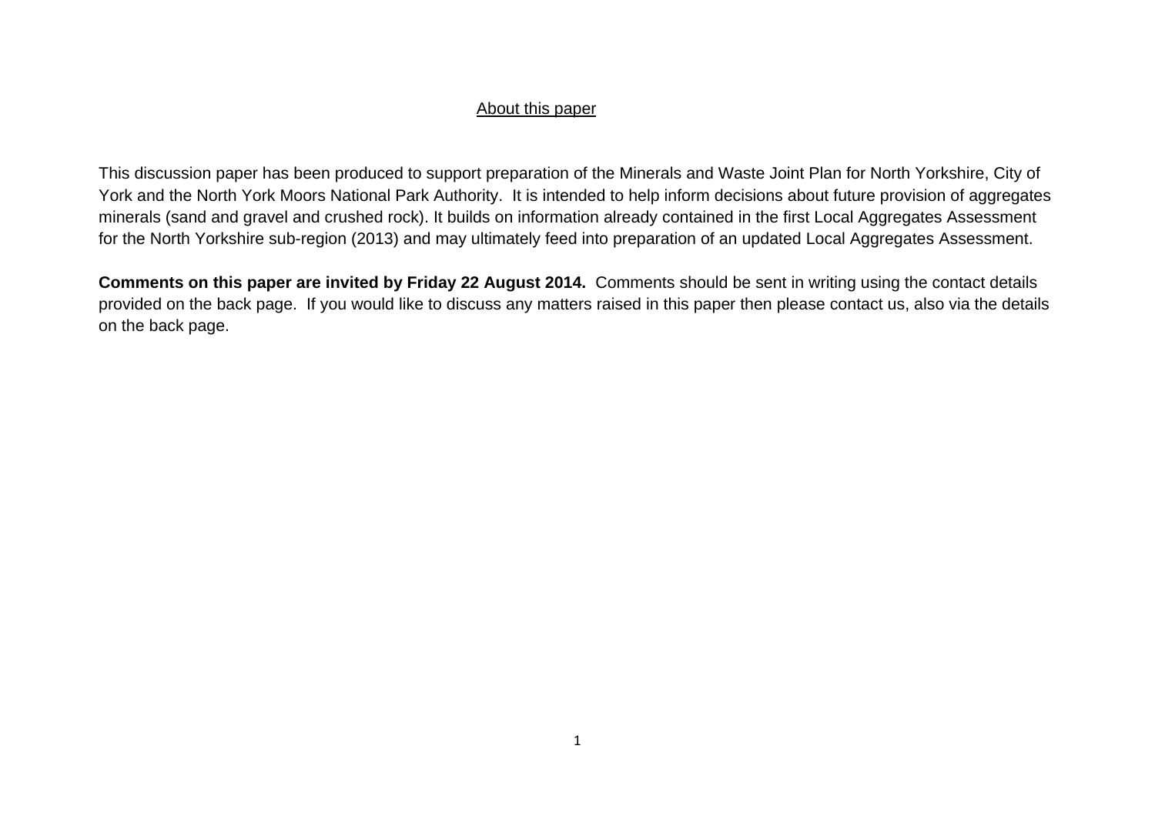#### About this paper

This discussion paper has been produced to support preparation of the Minerals and Waste Joint Plan for North Yorkshire, City of York and the North York Moors National Park Authority. It is intended to help inform decisions about future provision of aggregates minerals (sand and gravel and crushed rock). It builds on information already contained in the first Local Aggregates Assessment for the North Yorkshire sub-region (2013) and may ultimately feed into preparation of an updated Local Aggregates Assessment.

**Comments on this paper are invited by Friday 22 August 2014.** Comments should be sent in writing using the contact details provided on the back page. If you would like to discuss any matters raised in this paper then please contact us, also via the details on the back page.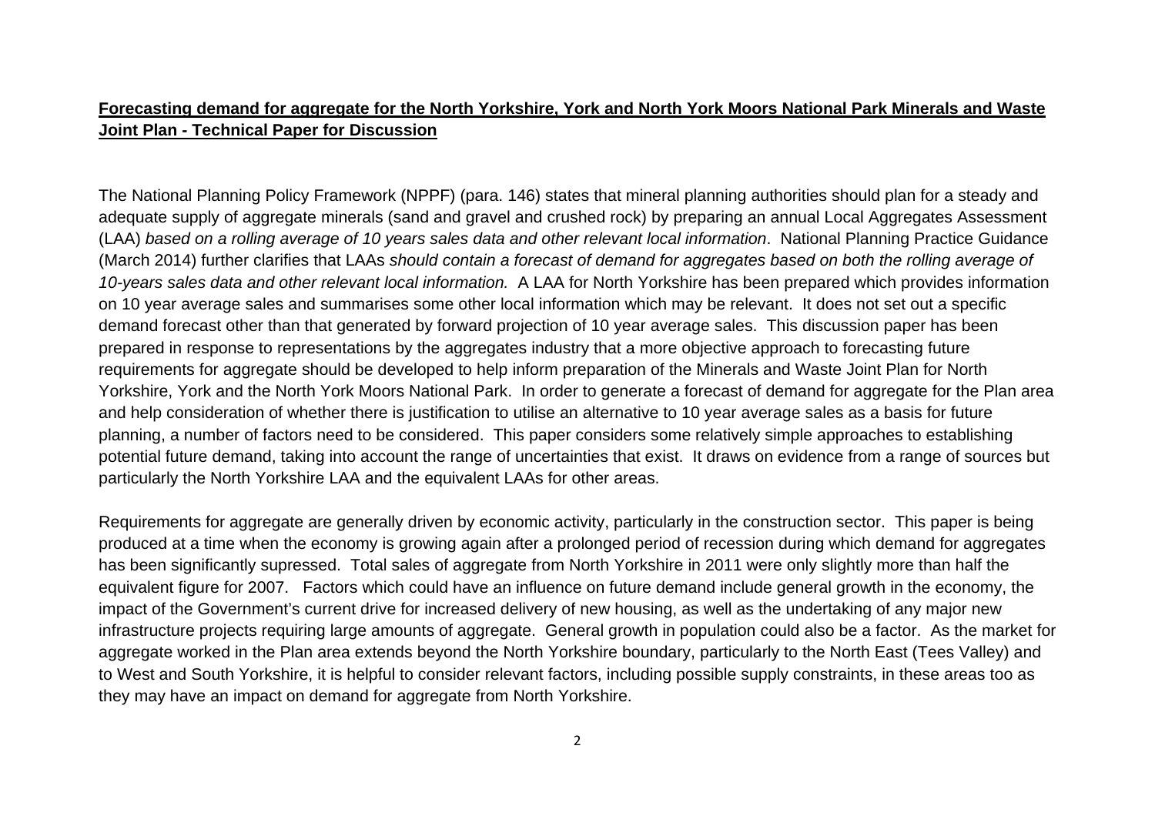#### **Forecasting demand for aggregate for the North Yorkshire, York and North York Moors National Park Minerals and Waste Joint Plan - Technical Paper for Discussion**

The National Planning Policy Framework (NPPF) (para. 146) states that mineral planning authorities should plan for a steady and adequate supply of aggregate minerals (sand and gravel and crushed rock) by preparing an annual Local Aggregates Assessment (LAA) *based on a rolling average of 10 years sales data and other relevant local information*. National Planning Practice Guidance (March 2014) further clarifies that LAAs *should contain a forecast of demand for aggregates based on both the rolling average of 10-years sales data and other relevant local information.* A LAA for North Yorkshire has been prepared which provides information on 10 year average sales and summarises some other local information which may be relevant. It does not set out a specific demand forecast other than that generated by forward projection of 10 year average sales. This discussion paper has been prepared in response to representations by the aggregates industry that a more objective approach to forecasting future requirements for aggregate should be developed to help inform preparation of the Minerals and Waste Joint Plan for North Yorkshire, York and the North York Moors National Park. In order to generate a forecast of demand for aggregate for the Plan area and help consideration of whether there is justification to utilise an alternative to 10 year average sales as a basis for future planning, a number of factors need to be considered. This paper considers some relatively simple approaches to establishing potential future demand, taking into account the range of uncertainties that exist. It draws on evidence from a range of sources but particularly the North Yorkshire LAA and the equivalent LAAs for other areas.

Requirements for aggregate are generally driven by economic activity, particularly in the construction sector. This paper is being produced at a time when the economy is growing again after a prolonged period of recession during which demand for aggregates has been significantly supressed. Total sales of aggregate from North Yorkshire in 2011 were only slightly more than half the equivalent figure for 2007. Factors which could have an influence on future demand include general growth in the economy, the impact of the Government's current drive for increased delivery of new housing, as well as the undertaking of any major new infrastructure projects requiring large amounts of aggregate. General growth in population could also be a factor. As the market for aggregate worked in the Plan area extends beyond the North Yorkshire boundary, particularly to the North East (Tees Valley) and to West and South Yorkshire, it is helpful to consider relevant factors, including possible supply constraints, in these areas too as they may have an impact on demand for aggregate from North Yorkshire.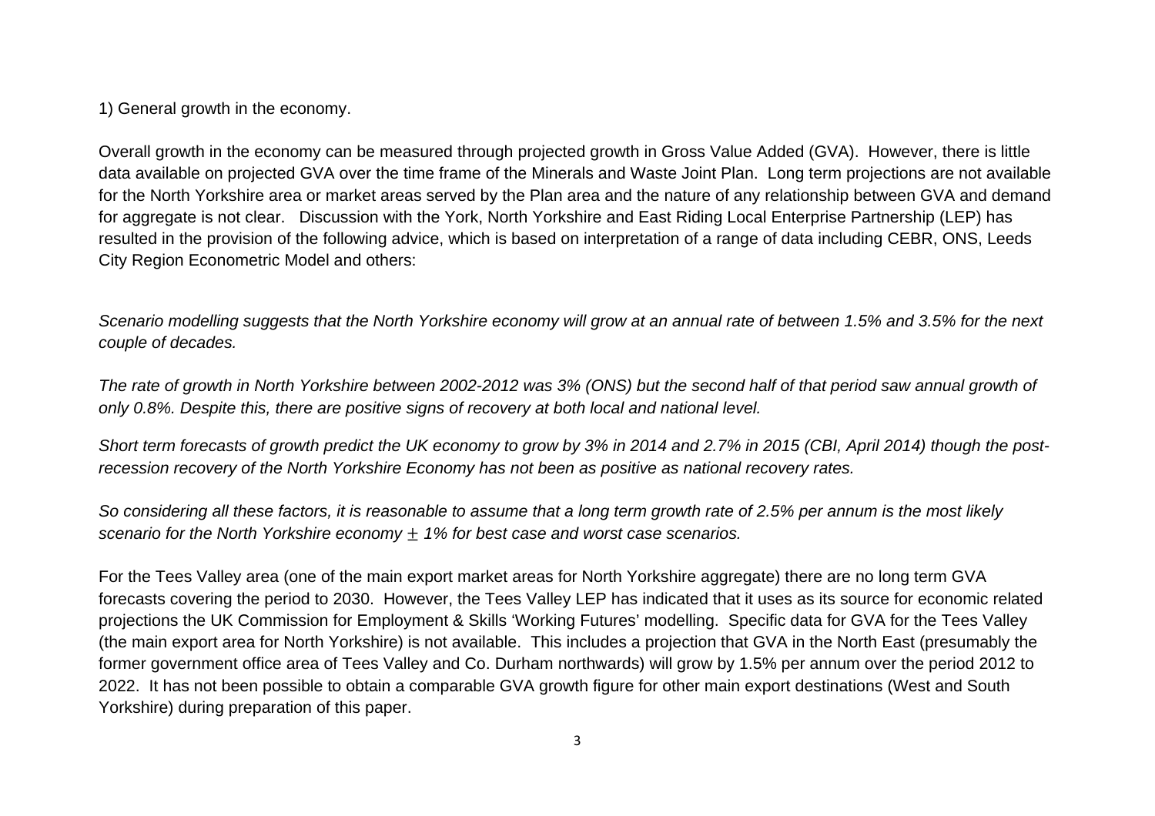1) General growth in the economy.

Overall growth in the economy can be measured through projected growth in Gross Value Added (GVA). However, there is little data available on projected GVA over the time frame of the Minerals and Waste Joint Plan. Long term projections are not available for the North Yorkshire area or market areas served by the Plan area and the nature of any relationship between GVA and demand for aggregate is not clear. Discussion with the York, North Yorkshire and East Riding Local Enterprise Partnership (LEP) has resulted in the provision of the following advice, which is based on interpretation of a range of data including CEBR, ONS, Leeds City Region Econometric Model and others:

*Scenario modelling suggests that the North Yorkshire economy will grow at an annual rate of between 1.5% and 3.5% for the next couple of decades.* 

*The rate of growth in North Yorkshire between 2002-2012 was 3% (ONS) but the second half of that period saw annual growth of only 0.8%. Despite this, there are positive signs of recovery at both local and national level.* 

*Short term forecasts of growth predict the UK economy to grow by 3% in 2014 and 2.7% in 2015 (CBI, April 2014) though the postrecession recovery of the North Yorkshire Economy has not been as positive as national recovery rates.* 

*So considering all these factors, it is reasonable to assume that a long term growth rate of 2.5% per annum is the most likely scenario for the North Yorkshire economy*  $\pm$  1% for best case and worst case scenarios.

For the Tees Valley area (one of the main export market areas for North Yorkshire aggregate) there are no long term GVA forecasts covering the period to 2030. However, the Tees Valley LEP has indicated that it uses as its source for economic related projections the UK Commission for Employment & Skills 'Working Futures' modelling. Specific data for GVA for the Tees Valley (the main export area for North Yorkshire) is not available. This includes a projection that GVA in the North East (presumably the former government office area of Tees Valley and Co. Durham northwards) will grow by 1.5% per annum over the period 2012 to 2022. It has not been possible to obtain a comparable GVA growth figure for other main export destinations (West and South Yorkshire) during preparation of this paper.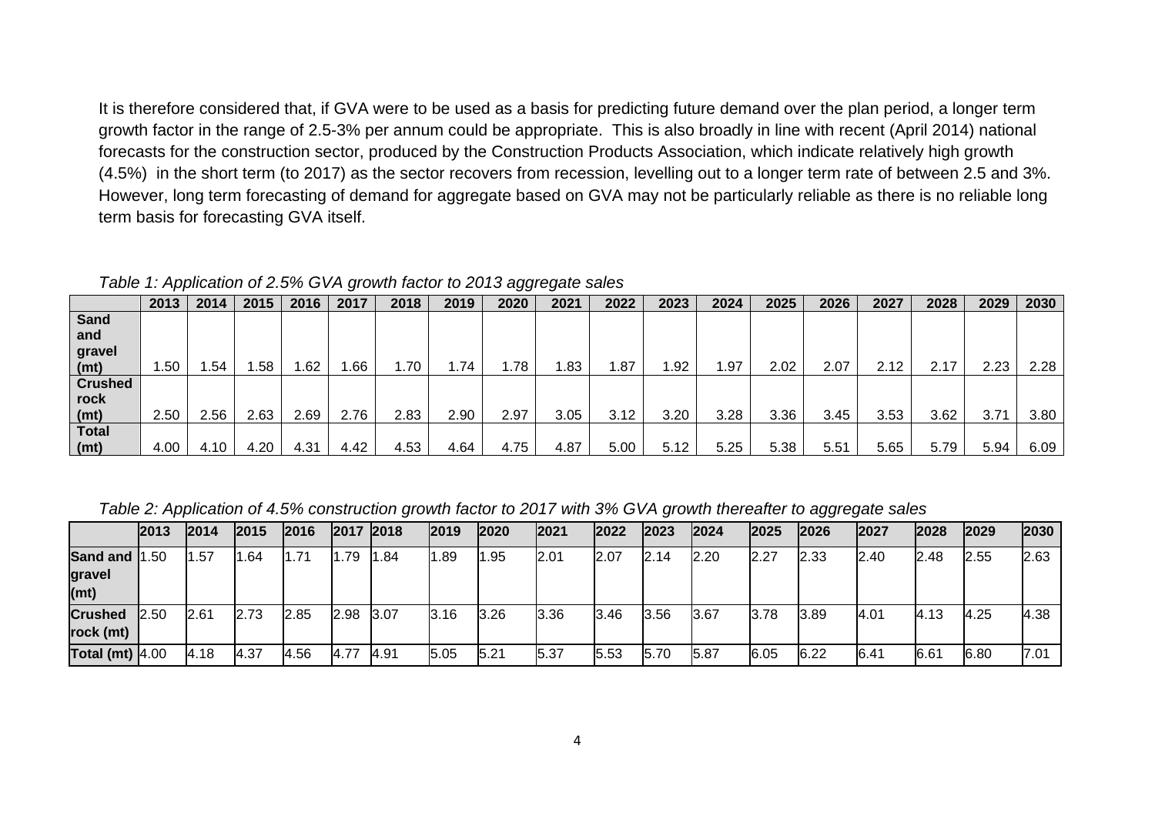It is therefore considered that, if GVA were to be used as a basis for predicting future demand over the plan period, a longer term growth factor in the range of 2.5-3% per annum could be appropriate. This is also broadly in line with recent (April 2014) national forecasts for the construction sector, produced by the Construction Products Association, which indicate relatively high growth (4.5%) in the short term (to 2017) as the sector recovers from recession, levelling out to a longer term rate of between 2.5 and 3%. However, long term forecasting of demand for aggregate based on GVA may not be particularly reliable as there is no reliable long term basis for forecasting GVA itself.

*Table 1: Application of 2.5% GVA growth factor to 2013 aggregate sales* 

|                   | 2013 | 2014 | 2015 | 2016 | 2017 | 2018 | 2019 | 2020 | 2021 | 2022 | 2023 | 2024 | 2025 | 2026 | 2027 | 2028 | 2029 | 2030 |
|-------------------|------|------|------|------|------|------|------|------|------|------|------|------|------|------|------|------|------|------|
| Sand              |      |      |      |      |      |      |      |      |      |      |      |      |      |      |      |      |      |      |
| and               |      |      |      |      |      |      |      |      |      |      |      |      |      |      |      |      |      |      |
|                   |      |      |      |      |      |      |      |      |      |      |      |      |      |      |      |      |      |      |
| gravel            |      |      |      |      |      |      |      |      |      |      |      |      |      |      |      |      |      |      |
| (mt)              | .50  | .54  | .58  | .62  | .66  | 1.70 | 1.74 | 1.78 | l.83 | 1.87 | .92  | 1.97 | 2.02 | 2.07 | 2.12 | 2.17 | 2.23 | 2.28 |
| <b>Crushed</b>    |      |      |      |      |      |      |      |      |      |      |      |      |      |      |      |      |      |      |
| rock              |      |      |      |      |      |      |      |      |      |      |      |      |      |      |      |      |      |      |
| (mt)              | 2.50 | 2.56 | 2.63 | 2.69 | 2.76 | 2.83 | 2.90 | 2.97 | 3.05 | 3.12 | 3.20 | 3.28 | 3.36 | 3.45 | 3.53 | 3.62 | 3.71 | 3.80 |
| <b>Total</b>      |      |      |      |      |      |      |      |      |      |      |      |      |      |      |      |      |      |      |
| (m <sub>t</sub> ) | 4.00 | 4.10 | 4.20 | 4.31 | 4.42 | 4.53 | 4.64 | 4.75 | 4.87 | 5.00 | 5.12 | 5.25 | 5.38 | 5.51 | 5.65 | 5.79 | 5.94 | 6.09 |

*Table 2: Application of 4.5% construction growth factor to 2017 with 3% GVA growth thereafter to aggregate sales* 

|                             | 2013 | 2014 | 2015 | 2016  | 2017 | 2018        | 2019 | 2020 | 2021 | 2022 | 2023 | 2024 | 2025 | 2026 | 2027 | 2028 | 2029 | 2030 |
|-----------------------------|------|------|------|-------|------|-------------|------|------|------|------|------|------|------|------|------|------|------|------|
| Sand and 1.50               |      | . 57 | 1.64 | 71. ا | 1.79 | 1.84        | 1.89 | 1.95 | 2.01 | 2.07 | 2.14 | 2.20 | 2.27 | 2.33 | 2.40 | 2.48 | 2.55 | 2.63 |
| gravel<br>(mt)              |      |      |      |       |      |             |      |      |      |      |      |      |      |      |      |      |      |      |
| <b>Crushed</b><br>rock (mt) | 2.50 | 2.61 | 2.73 | 2.85  | 2.98 | 3.07        | 3.16 | 3.26 | 3.36 | 3.46 | 3.56 | 3.67 | 3.78 | 3.89 | 4.01 | 4.13 | 4.25 | 4.38 |
| Total (mt) $4.00$           |      | 4.18 | 4.37 | 4.56  | 4.77 | <b>4.91</b> | 5.05 | 5.21 | 5.37 | 5.53 | 5.70 | 5.87 | 6.05 | 6.22 | 6.41 | 6.61 | 6.80 | 7.01 |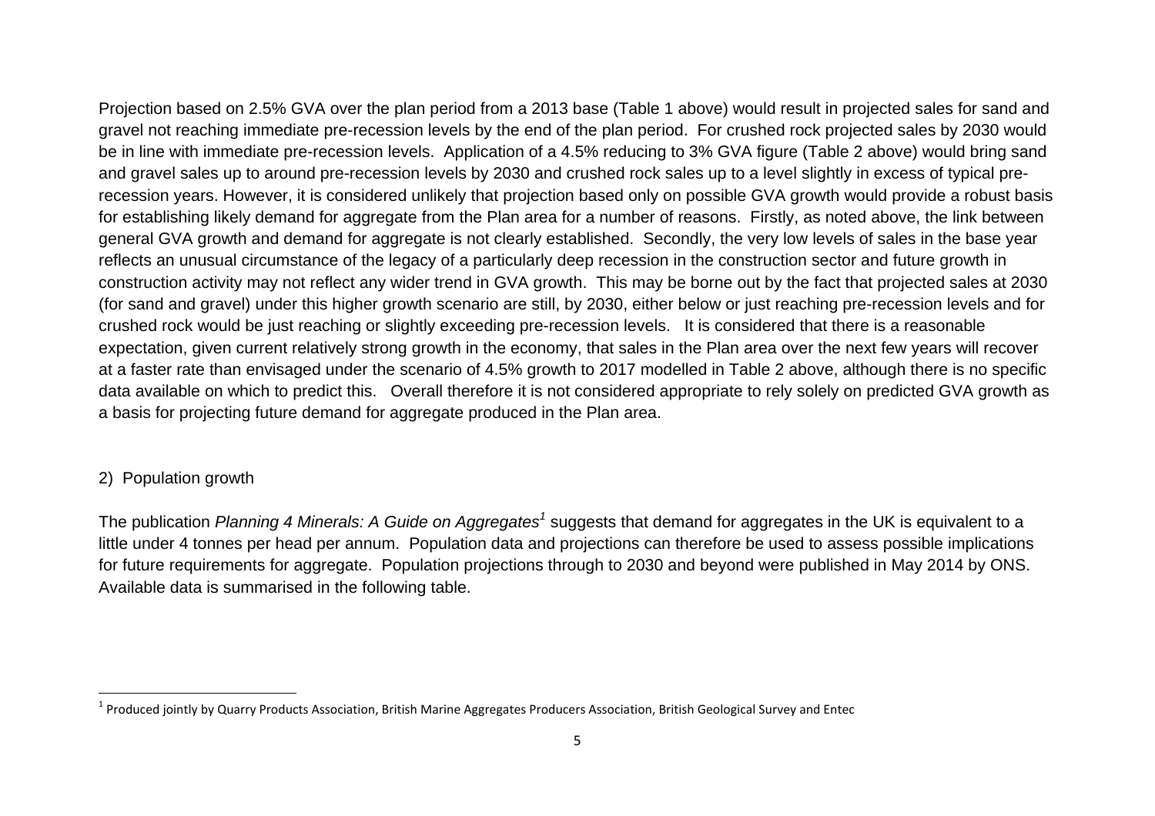Projection based on 2.5% GVA over the plan period from a 2013 base (Table 1 above) would result in projected sales for sand and gravel not reaching immediate pre-recession levels by the end of the plan period. For crushed rock projected sales by 2030 would be in line with immediate pre-recession levels. Application of a 4.5% reducing to 3% GVA figure (Table 2 above) would bring sand and gravel sales up to around pre-recession levels by 2030 and crushed rock sales up to a level slightly in excess of typical prerecession years. However, it is considered unlikely that projection based only on possible GVA growth would provide a robust basis for establishing likely demand for aggregate from the Plan area for a number of reasons. Firstly, as noted above, the link between general GVA growth and demand for aggregate is not clearly established. Secondly, the very low levels of sales in the base year reflects an unusual circumstance of the legacy of a particularly deep recession in the construction sector and future growth in construction activity may not reflect any wider trend in GVA growth. This may be borne out by the fact that projected sales at 2030 (for sand and gravel) under this higher growth scenario are still, by 2030, either below or just reaching pre-recession levels and for crushed rock would be just reaching or slightly exceeding pre-recession levels. It is considered that there is a reasonable expectation, given current relatively strong growth in the economy, that sales in the Plan area over the next few years will recover at a faster rate than envisaged under the scenario of 4.5% growth to 2017 modelled in Table 2 above, although there is no specific data available on which to predict this. Overall therefore it is not considered appropriate to rely solely on predicted GVA growth as a basis for projecting future demand for aggregate produced in the Plan area.

#### 2) Population growth

The publication *Planning 4 Minerals: A Guide on Aggregates<sup>1</sup>* suggests that demand for aggregates in the UK is equivalent to a little under 4 tonnes per head per annum. Population data and projections can therefore be used to assess possible implications for future requirements for aggregate. Population projections through to 2030 and beyond were published in May 2014 by ONS. Available data is summarised in the following table.

 $^1$  Produced jointly by Quarry Products Association, British Marine Aggregates Producers Association, British Geological Survey and Entec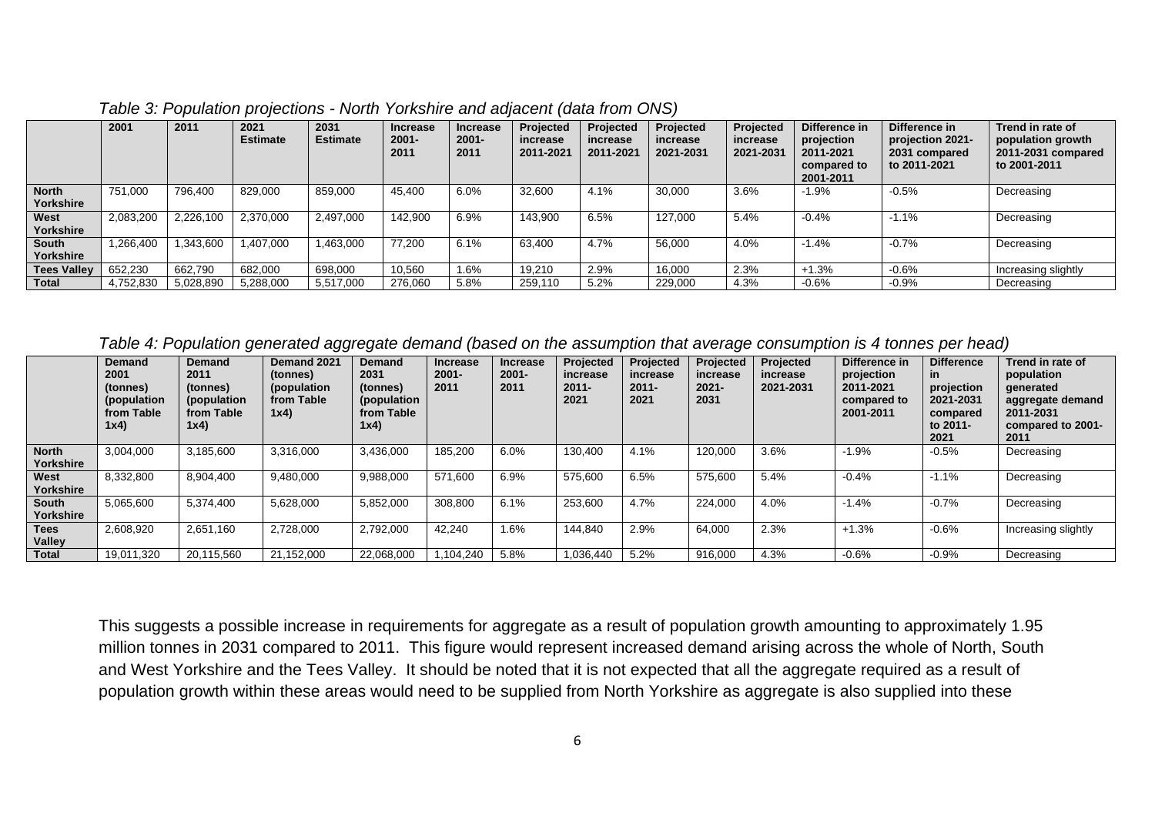|                           | 2001      | 2011      | 2021<br><b>Estimate</b> | 2031<br><b>Estimate</b> | <b>Increase</b><br>$2001 -$<br>2011 | <b>Increase</b><br>$2001 -$<br>2011 | Projected<br>increase<br>2011-2021 | Projected<br>increase<br>2011-2021 | Projected<br>increase<br>2021-2031 | Projected<br>increase<br>2021-2031 | Difference in<br>projection<br>2011-2021<br>compared to<br>2001-2011 | Difference in<br>projection 2021-<br>2031 compared<br>to 2011-2021 | Trend in rate of<br>population growth<br>2011-2031 compared<br>to 2001-2011 |
|---------------------------|-----------|-----------|-------------------------|-------------------------|-------------------------------------|-------------------------------------|------------------------------------|------------------------------------|------------------------------------|------------------------------------|----------------------------------------------------------------------|--------------------------------------------------------------------|-----------------------------------------------------------------------------|
| <b>North</b><br>Yorkshire | 751,000   | 796.400   | 829,000                 | 859,000                 | 45,400                              | 6.0%                                | 32,600                             | 4.1%                               | 30,000                             | 3.6%                               | $-1.9%$                                                              | $-0.5%$                                                            | Decreasing                                                                  |
| West<br>Yorkshire         | 2,083,200 | 2,226,100 | 2,370,000               | 2,497,000               | 142.900                             | 6.9%                                | 143,900                            | 6.5%                               | 127.000                            | 5.4%                               | $-0.4%$                                                              | $-1.1%$                                                            | Decreasing                                                                  |
| South<br>Yorkshire        | .266.400  | .343.600  | 1.407.000               | 1,463,000               | 77,200                              | 6.1%                                | 63,400                             | 4.7%                               | 56,000                             | 4.0%                               | $-1.4%$                                                              | $-0.7%$                                                            | Decreasing                                                                  |
| <b>Tees Valley</b>        | 652,230   | 662.790   | 682.000                 | 698,000                 | 10,560                              | 1.6%                                | 19.210                             | 2.9%                               | 16.000                             | 2.3%                               | $+1.3%$                                                              | $-0.6%$                                                            | Increasing slightly                                                         |
| Total                     | 4,752,830 | 5,028,890 | 5,288,000               | 5,517,000               | 276.060                             | 5.8%                                | 259,110                            | 5.2%                               | 229,000                            | 4.3%                               | $-0.6%$                                                              | $-0.9%$                                                            | Decreasing                                                                  |

*Table 3: Population projections - North Yorkshire and adjacent (data from ONS)* 

*Table 4: Population generated aggregate demand (based on the assumption that average consumption is 4 tonnes per head)* 

|                              | <b>Demand</b><br>2001<br>(tonnes)<br>(population<br>from Table<br>1x4) | <b>Demand</b><br>2011<br>(tonnes)<br>(population<br>from Table<br>1x4) | Demand 2021<br>(tonnes)<br>(population<br>from Table<br>1x4) | <b>Demand</b><br>2031<br>(tonnes)<br>(population<br>from Table<br>1x4) | <b>Increase</b><br>$2001 -$<br>2011 | Increase<br>$2001 -$<br>2011 | Projected<br>increase<br>$2011 -$<br>2021 | Projected<br>increase<br>$2011 -$<br>2021 | Projected<br>increase<br>$2021 -$<br>2031 | Projected<br>increase<br>2021-2031 | Difference in<br>projection<br>2011-2021<br>compared to<br>2001-2011 | <b>Difference</b><br>in.<br>projection<br>2021-2031<br>compared<br>to 2011-<br>2021 | Trend in rate of<br>population<br>generated<br>aggregate demand<br>2011-2031<br>compared to 2001-<br>2011 |
|------------------------------|------------------------------------------------------------------------|------------------------------------------------------------------------|--------------------------------------------------------------|------------------------------------------------------------------------|-------------------------------------|------------------------------|-------------------------------------------|-------------------------------------------|-------------------------------------------|------------------------------------|----------------------------------------------------------------------|-------------------------------------------------------------------------------------|-----------------------------------------------------------------------------------------------------------|
| <b>North</b><br>Yorkshire    | 3.004.000                                                              | 3.185.600                                                              | 3,316,000                                                    | 3,436,000                                                              | 185,200                             | 6.0%                         | 130,400                                   | 4.1%                                      | 120,000                                   | 3.6%                               | $-1.9%$                                                              | $-0.5%$                                                                             | Decreasing                                                                                                |
| West<br>Yorkshire            | 8,332,800                                                              | 8.904.400                                                              | 9,480,000                                                    | 9,988,000                                                              | 571,600                             | 6.9%                         | 575,600                                   | 6.5%                                      | 575,600                                   | 5.4%                               | $-0.4%$                                                              | $-1.1%$                                                                             | Decreasing                                                                                                |
| South<br>Yorkshire           | 5,065,600                                                              | 5.374.400                                                              | 5,628,000                                                    | 5,852,000                                                              | 308,800                             | 6.1%                         | 253,600                                   | 4.7%                                      | 224,000                                   | 4.0%                               | $-1.4%$                                                              | $-0.7%$                                                                             | Decreasing                                                                                                |
| <b>Tees</b><br><b>Valley</b> | 2,608,920                                                              | 2.651.160                                                              | 2,728,000                                                    | 2,792,000                                                              | 42.240                              | 1.6%                         | 144,840                                   | 2.9%                                      | 64,000                                    | 2.3%                               | $+1.3%$                                                              | $-0.6%$                                                                             | Increasing slightly                                                                                       |
| Total                        | 19,011,320                                                             | 20.115.560                                                             | 21.152.000                                                   | 22.068.000                                                             | ,104,240                            | 5.8%                         | 1,036,440                                 | 5.2%                                      | 916,000                                   | 4.3%                               | $-0.6%$                                                              | $-0.9%$                                                                             | Decreasing                                                                                                |

This suggests a possible increase in requirements for aggregate as a result of population growth amounting to approximately 1.95 million tonnes in 2031 compared to 2011. This figure would represent increased demand arising across the whole of North, South and West Yorkshire and the Tees Valley. It should be noted that it is not expected that all the aggregate required as a result of population growth within these areas would need to be supplied from North Yorkshire as aggregate is also supplied into these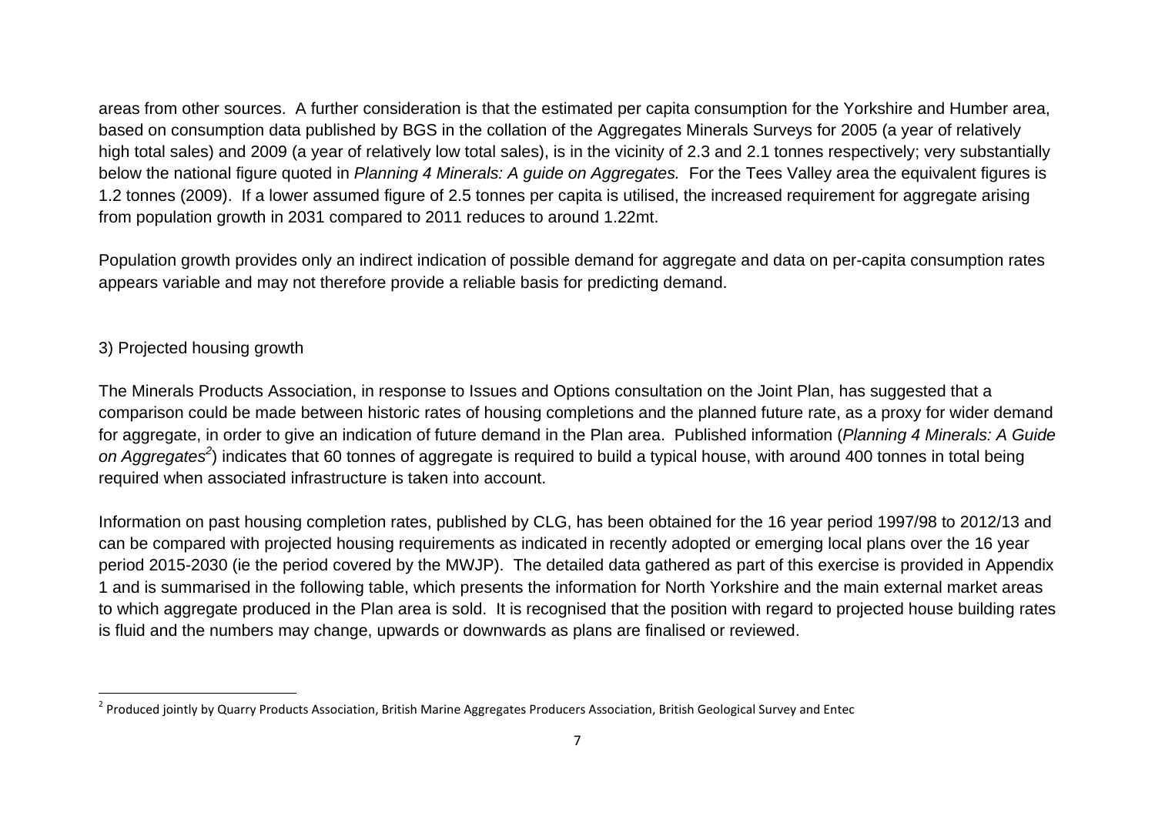areas from other sources. A further consideration is that the estimated per capita consumption for the Yorkshire and Humber area, based on consumption data published by BGS in the collation of the Aggregates Minerals Surveys for 2005 (a year of relatively high total sales) and 2009 (a year of relatively low total sales), is in the vicinity of 2.3 and 2.1 tonnes respectively; very substantially below the national figure quoted in *Planning 4 Minerals: A guide on Aggregates.* For the Tees Valley area the equivalent figures is 1.2 tonnes (2009). If a lower assumed figure of 2.5 tonnes per capita is utilised, the increased requirement for aggregate arising from population growth in 2031 compared to 2011 reduces to around 1.22mt.

Population growth provides only an indirect indication of possible demand for aggregate and data on per-capita consumption rates appears variable and may not therefore provide a reliable basis for predicting demand.

#### 3) Projected housing growth

The Minerals Products Association, in response to Issues and Options consultation on the Joint Plan, has suggested that a comparison could be made between historic rates of housing completions and the planned future rate, as a proxy for wider demand for aggregate, in order to give an indication of future demand in the Plan area. Published information (*Planning 4 Minerals: A Guide on Aggregates2*) indicates that 60 tonnes of aggregate is required to build a typical house, with around 400 tonnes in total being required when associated infrastructure is taken into account.

Information on past housing completion rates, published by CLG, has been obtained for the 16 year period 1997/98 to 2012/13 and can be compared with projected housing requirements as indicated in recently adopted or emerging local plans over the 16 year period 2015-2030 (ie the period covered by the MWJP). The detailed data gathered as part of this exercise is provided in Appendix 1 and is summarised in the following table, which presents the information for North Yorkshire and the main external market areas to which aggregate produced in the Plan area is sold. It is recognised that the position with regard to projected house building rates is fluid and the numbers may change, upwards or downwards as plans are finalised or reviewed.

<sup>&</sup>lt;sup>2</sup> Produced jointly by Quarry Products Association, British Marine Aggregates Producers Association, British Geological Survey and Entec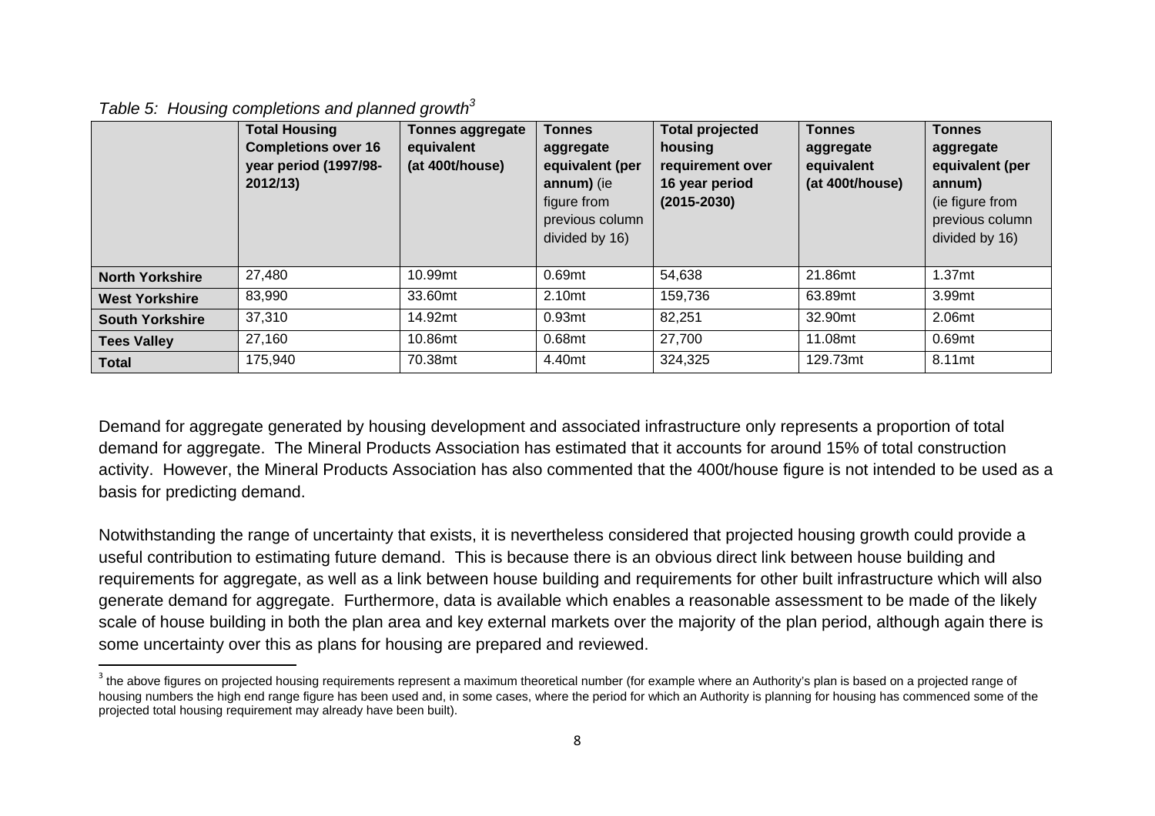|  | Table 5: Housing completions and planned growth $^3$ |  |
|--|------------------------------------------------------|--|

|                        | <b>Total Housing</b><br><b>Completions over 16</b><br>year period (1997/98-<br>2012/13) | <b>Tonnes aggregate</b><br>equivalent<br>(at 400t/house) | <b>Tonnes</b><br>aggregate<br>equivalent (per<br>annum) (ie<br>figure from<br>previous column<br>divided by 16) | <b>Total projected</b><br>housing<br>requirement over<br>16 year period<br>$(2015 - 2030)$ | <b>Tonnes</b><br>aggregate<br>equivalent<br>(at 400t/house) | <b>Tonnes</b><br>aggregate<br>equivalent (per<br>annum)<br>(ie figure from<br>previous column<br>divided by 16) |
|------------------------|-----------------------------------------------------------------------------------------|----------------------------------------------------------|-----------------------------------------------------------------------------------------------------------------|--------------------------------------------------------------------------------------------|-------------------------------------------------------------|-----------------------------------------------------------------------------------------------------------------|
| <b>North Yorkshire</b> | 27,480                                                                                  | 10.99mt                                                  | 0.69mt                                                                                                          | 54,638                                                                                     | 21.86mt                                                     | 1.37 <sub>mt</sub>                                                                                              |
| <b>West Yorkshire</b>  | 83,990                                                                                  | 33.60mt                                                  | 2.10 <sub>mt</sub>                                                                                              | 159,736                                                                                    | 63.89mt                                                     | 3.99mt                                                                                                          |
| <b>South Yorkshire</b> | 37,310                                                                                  | 14.92mt                                                  | 0.93 <sub>mt</sub>                                                                                              | 82,251                                                                                     | 32.90mt                                                     | 2.06mt                                                                                                          |
| <b>Tees Valley</b>     | 27,160                                                                                  | 10.86mt                                                  | 0.68mt                                                                                                          | 27,700                                                                                     | 11.08mt                                                     | 0.69mt                                                                                                          |
| <b>Total</b>           | 175,940                                                                                 | 70.38mt                                                  | 4.40mt                                                                                                          | 324,325                                                                                    | 129.73mt                                                    | 8.11mt                                                                                                          |

Demand for aggregate generated by housing development and associated infrastructure only represents a proportion of total demand for aggregate. The Mineral Products Association has estimated that it accounts for around 15% of total construction activity. However, the Mineral Products Association has also commented that the 400t/house figure is not intended to be used as a basis for predicting demand.

Notwithstanding the range of uncertainty that exists, it is nevertheless considered that projected housing growth could provide a useful contribution to estimating future demand. This is because there is an obvious direct link between house building and requirements for aggregate, as well as a link between house building and requirements for other built infrastructure which will also generate demand for aggregate. Furthermore, data is available which enables a reasonable assessment to be made of the likely scale of house building in both the plan area and key external markets over the majority of the plan period, although again there is some uncertainty over this as plans for housing are prepared and reviewed.

 $^3$  the above figures on projected housing requirements represent a maximum theoretical number (for example where an Authority's plan is based on a projected range of housing numbers the high end range figure has been used and, in some cases, where the period for which an Authority is planning for housing has commenced some of the projected total housing requirement may already have been built).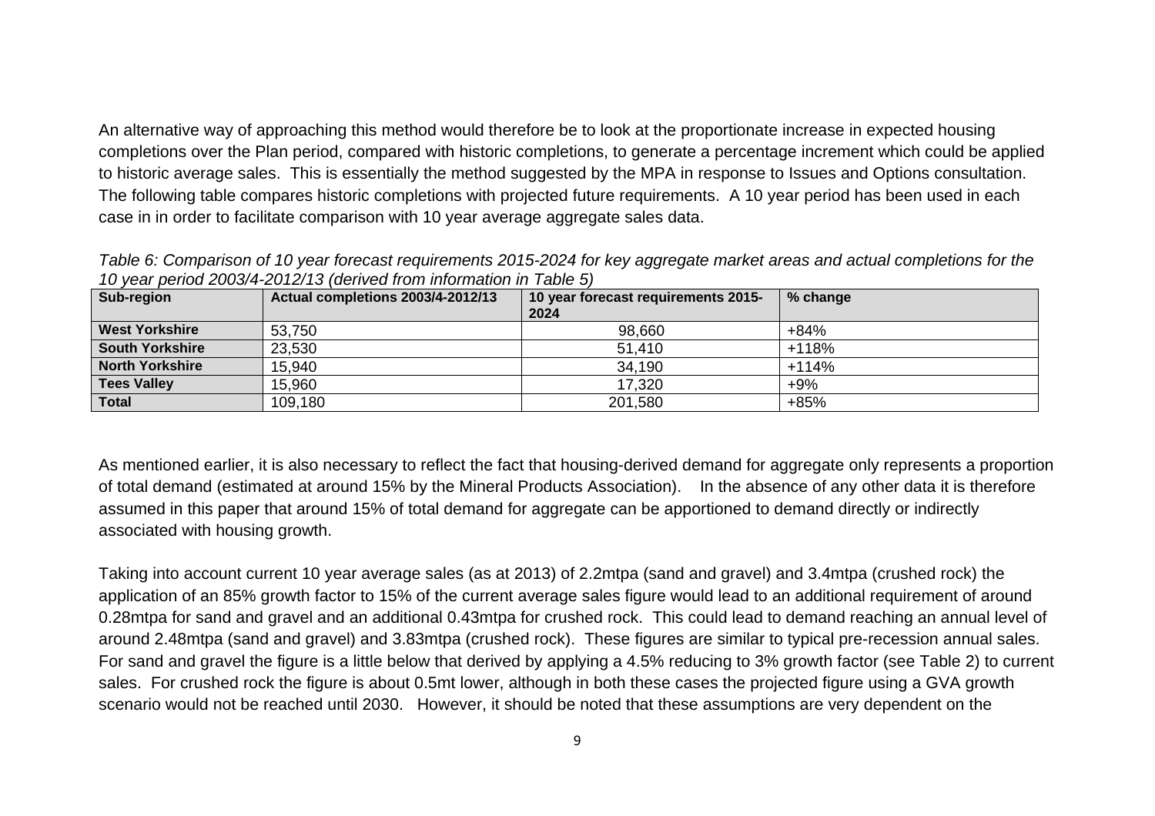An alternative way of approaching this method would therefore be to look at the proportionate increase in expected housing completions over the Plan period, compared with historic completions, to generate a percentage increment which could be applied to historic average sales. This is essentially the method suggested by the MPA in response to Issues and Options consultation. The following table compares historic completions with projected future requirements. A 10 year period has been used in each case in in order to facilitate comparison with 10 year average aggregate sales data.

*Table 6: Comparison of 10 year forecast requirements 2015-2024 for key aggregate market areas and actual completions for the 10 year period 2003/4-2012/13 (derived from information in Table 5)* 

| Sub-region             | <b>Actual completions 2003/4-2012/13</b> | 10 year forecast requirements 2015-<br>2024 | % change |
|------------------------|------------------------------------------|---------------------------------------------|----------|
| <b>West Yorkshire</b>  | 53,750                                   | 98,660                                      | $+84%$   |
| <b>South Yorkshire</b> | 23,530                                   | 51,410                                      | $+118%$  |
| <b>North Yorkshire</b> | 15,940                                   | 34,190                                      | $+114%$  |
| <b>Tees Valley</b>     | 15,960                                   | 17,320                                      | $+9\%$   |
| <b>Total</b>           | 109,180                                  | 201,580                                     | $+85%$   |

As mentioned earlier, it is also necessary to reflect the fact that housing-derived demand for aggregate only represents a proportion of total demand (estimated at around 15% by the Mineral Products Association). In the absence of any other data it is therefore assumed in this paper that around 15% of total demand for aggregate can be apportioned to demand directly or indirectly associated with housing growth.

Taking into account current 10 year average sales (as at 2013) of 2.2mtpa (sand and gravel) and 3.4mtpa (crushed rock) the application of an 85% growth factor to 15% of the current average sales figure would lead to an additional requirement of around 0.28mtpa for sand and gravel and an additional 0.43mtpa for crushed rock. This could lead to demand reaching an annual level of around 2.48mtpa (sand and gravel) and 3.83mtpa (crushed rock). These figures are similar to typical pre-recession annual sales. For sand and gravel the figure is a little below that derived by applying a 4.5% reducing to 3% growth factor (see Table 2) to current sales. For crushed rock the figure is about 0.5mt lower, although in both these cases the projected figure using a GVA growth scenario would not be reached until 2030. However, it should be noted that these assumptions are very dependent on the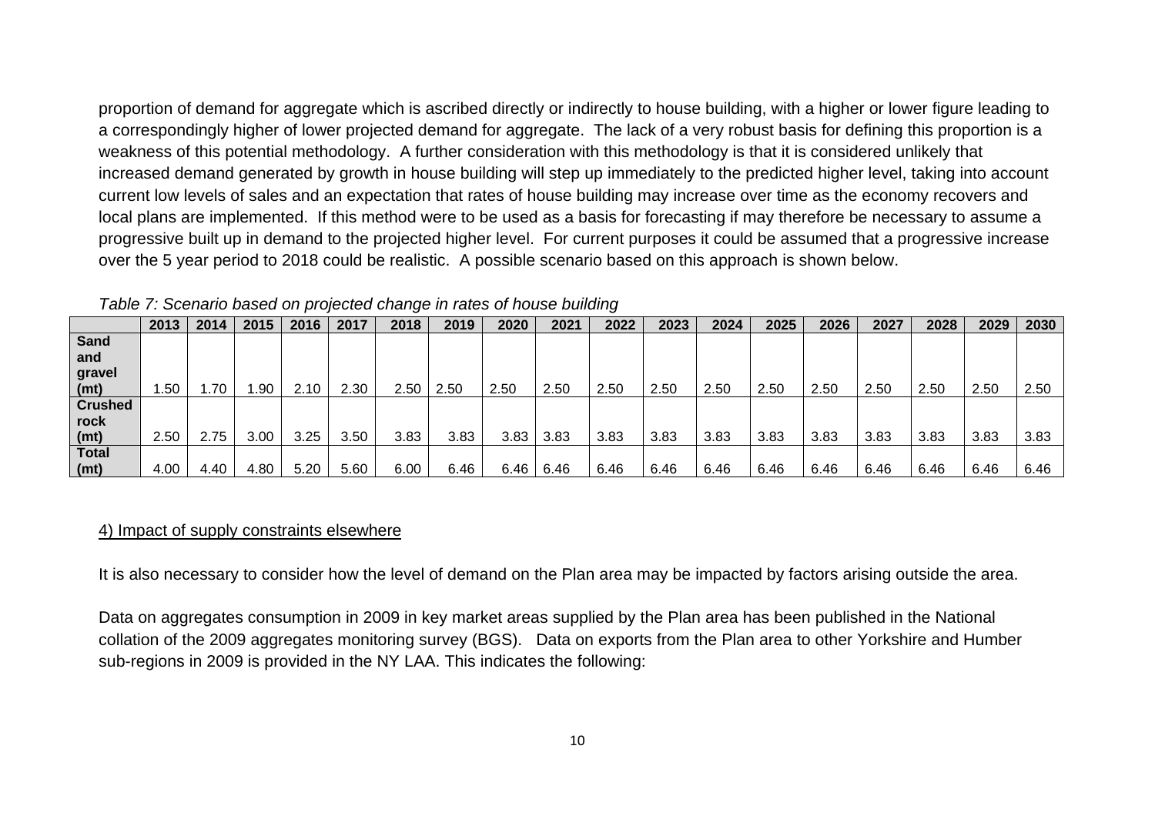proportion of demand for aggregate which is ascribed directly or indirectly to house building, with a higher or lower figure leading to a correspondingly higher of lower projected demand for aggregate. The lack of a very robust basis for defining this proportion is a weakness of this potential methodology. A further consideration with this methodology is that it is considered unlikely that increased demand generated by growth in house building will step up immediately to the predicted higher level, taking into account current low levels of sales and an expectation that rates of house building may increase over time as the economy recovers and local plans are implemented. If this method were to be used as a basis for forecasting if may therefore be necessary to assume a progressive built up in demand to the projected higher level. For current purposes it could be assumed that a progressive increase over the 5 year period to 2018 could be realistic. A possible scenario based on this approach is shown below.

|                | 2013 | 2014 | 2015 | 2016 | 2017 | 2018 | 2019 | 2020 | 2021 | 2022 | 2023 | 2024 | 2025 | 2026 | 2027 | 2028 | 2029 | 2030 |
|----------------|------|------|------|------|------|------|------|------|------|------|------|------|------|------|------|------|------|------|
| <b>Sand</b>    |      |      |      |      |      |      |      |      |      |      |      |      |      |      |      |      |      |      |
| and            |      |      |      |      |      |      |      |      |      |      |      |      |      |      |      |      |      |      |
| gravel         |      |      |      |      |      |      |      |      |      |      |      |      |      |      |      |      |      |      |
| (mt)           | .50  | .70  | .90  | 2.10 | 2.30 | 2.50 | 2.50 | 2.50 | 2.50 | 2.50 | 2.50 | 2.50 | 2.50 | 2.50 | 2.50 | 2.50 | 2.50 | 2.50 |
| <b>Crushed</b> |      |      |      |      |      |      |      |      |      |      |      |      |      |      |      |      |      |      |
| rock           |      |      |      |      |      |      |      |      |      |      |      |      |      |      |      |      |      |      |
| (mt)           | 2.50 | 2.75 | 3.00 | 3.25 | 3.50 | 3.83 | 3.83 | 3.83 | 3.83 | 3.83 | 3.83 | 3.83 | 3.83 | 3.83 | 3.83 | 3.83 | 3.83 | 3.83 |
| <b>Total</b>   |      |      |      |      |      |      |      |      |      |      |      |      |      |      |      |      |      |      |
| (mt)           | 4.00 | 4.40 | 4.80 | 5.20 | 5.60 | 6.00 | 6.46 | 6.46 | 6.46 | 6.46 | 6.46 | 6.46 | 6.46 | 6.46 | 6.46 | 6.46 | 6.46 | 6.46 |

*Table 7: Scenario based on projected change in rates of house building* 

#### 4) Impact of supply constraints elsewhere

It is also necessary to consider how the level of demand on the Plan area may be impacted by factors arising outside the area.

Data on aggregates consumption in 2009 in key market areas supplied by the Plan area has been published in the National collation of the 2009 aggregates monitoring survey (BGS). Data on exports from the Plan area to other Yorkshire and Humber sub-regions in 2009 is provided in the NY LAA. This indicates the following: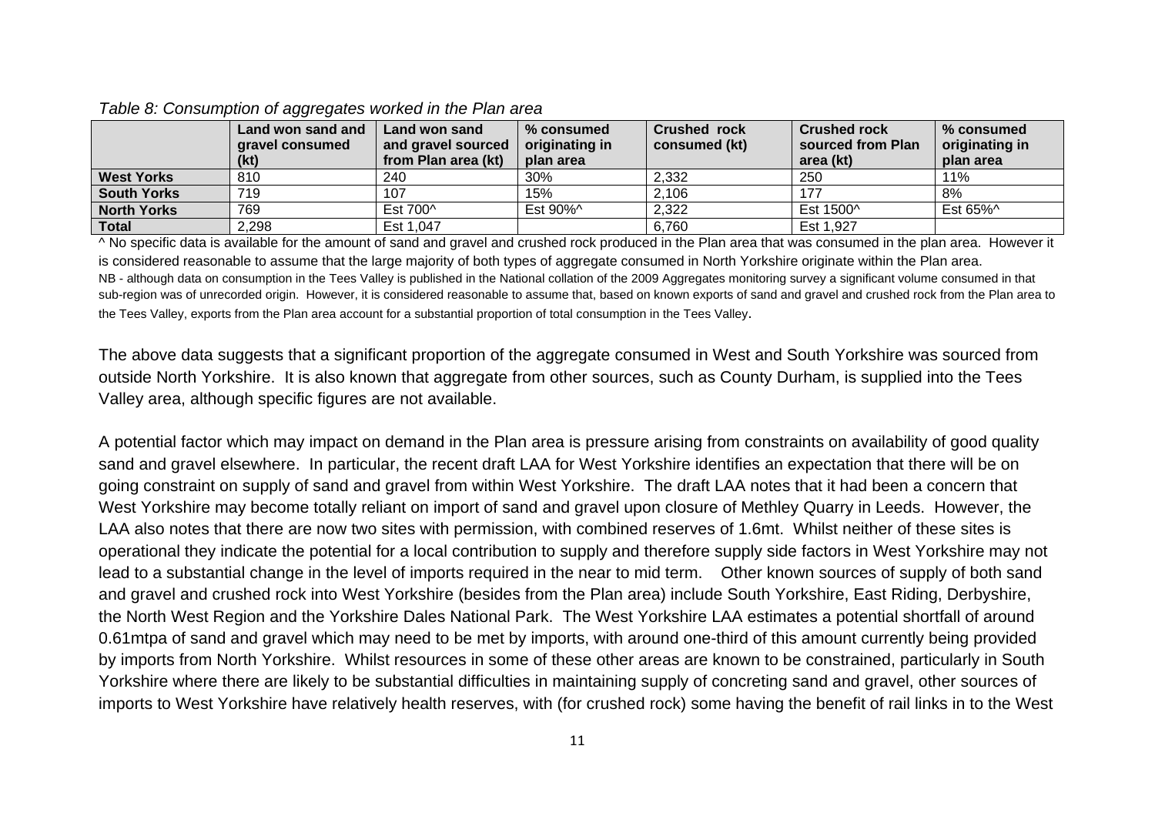|                    | Land won sand and<br>gravel consumed | Land won sand<br>and gravel sourced | % consumed<br>originating in | <b>Crushed rock</b><br>consumed (kt) | <b>Crushed rock</b><br>sourced from Plan | % consumed<br>originating in |
|--------------------|--------------------------------------|-------------------------------------|------------------------------|--------------------------------------|------------------------------------------|------------------------------|
|                    | (kt)                                 | from Plan area (kt)                 | plan area                    |                                      | area (kt)                                | plan area                    |
| <b>West Yorks</b>  | 810                                  | 240                                 | 30%                          | 2,332                                | 250                                      | 11%                          |
| <b>South Yorks</b> | 719                                  | 107                                 | 15%                          | 2,106                                | 177                                      | 8%                           |
| <b>North Yorks</b> | 769                                  | Est 700^                            | Est 90%^                     | 2,322                                | Est 1500^                                | Est 65%^                     |
| <b>Total</b>       | 2,298                                | Est 1,047                           |                              | 6,760                                | Est 1,927                                |                              |

#### *Table 8: Consumption of aggregates worked in the Plan area*

^ No specific data is available for the amount of sand and gravel and crushed rock produced in the Plan area that was consumed in the plan area. However it is considered reasonable to assume that the large majority of both types of aggregate consumed in North Yorkshire originate within the Plan area. NB - although data on consumption in the Tees Valley is published in the National collation of the 2009 Aggregates monitoring survey a significant volume consumed in that sub-region was of unrecorded origin. However, it is considered reasonable to assume that, based on known exports of sand and gravel and crushed rock from the Plan area to the Tees Valley, exports from the Plan area account for a substantial proportion of total consumption in the Tees Valley.

The above data suggests that a significant proportion of the aggregate consumed in West and South Yorkshire was sourced from outside North Yorkshire. It is also known that aggregate from other sources, such as County Durham, is supplied into the Tees Valley area, although specific figures are not available.

A potential factor which may impact on demand in the Plan area is pressure arising from constraints on availability of good quality sand and gravel elsewhere. In particular, the recent draft LAA for West Yorkshire identifies an expectation that there will be on going constraint on supply of sand and gravel from within West Yorkshire. The draft LAA notes that it had been a concern that West Yorkshire may become totally reliant on import of sand and gravel upon closure of Methley Quarry in Leeds. However, the LAA also notes that there are now two sites with permission, with combined reserves of 1.6mt. Whilst neither of these sites is operational they indicate the potential for a local contribution to supply and therefore supply side factors in West Yorkshire may not lead to a substantial change in the level of imports required in the near to mid term. Other known sources of supply of both sand and gravel and crushed rock into West Yorkshire (besides from the Plan area) include South Yorkshire, East Riding, Derbyshire, the North West Region and the Yorkshire Dales National Park. The West Yorkshire LAA estimates a potential shortfall of around 0.61mtpa of sand and gravel which may need to be met by imports, with around one-third of this amount currently being provided by imports from North Yorkshire. Whilst resources in some of these other areas are known to be constrained, particularly in South Yorkshire where there are likely to be substantial difficulties in maintaining supply of concreting sand and gravel, other sources of imports to West Yorkshire have relatively health reserves, with (for crushed rock) some having the benefit of rail links in to the West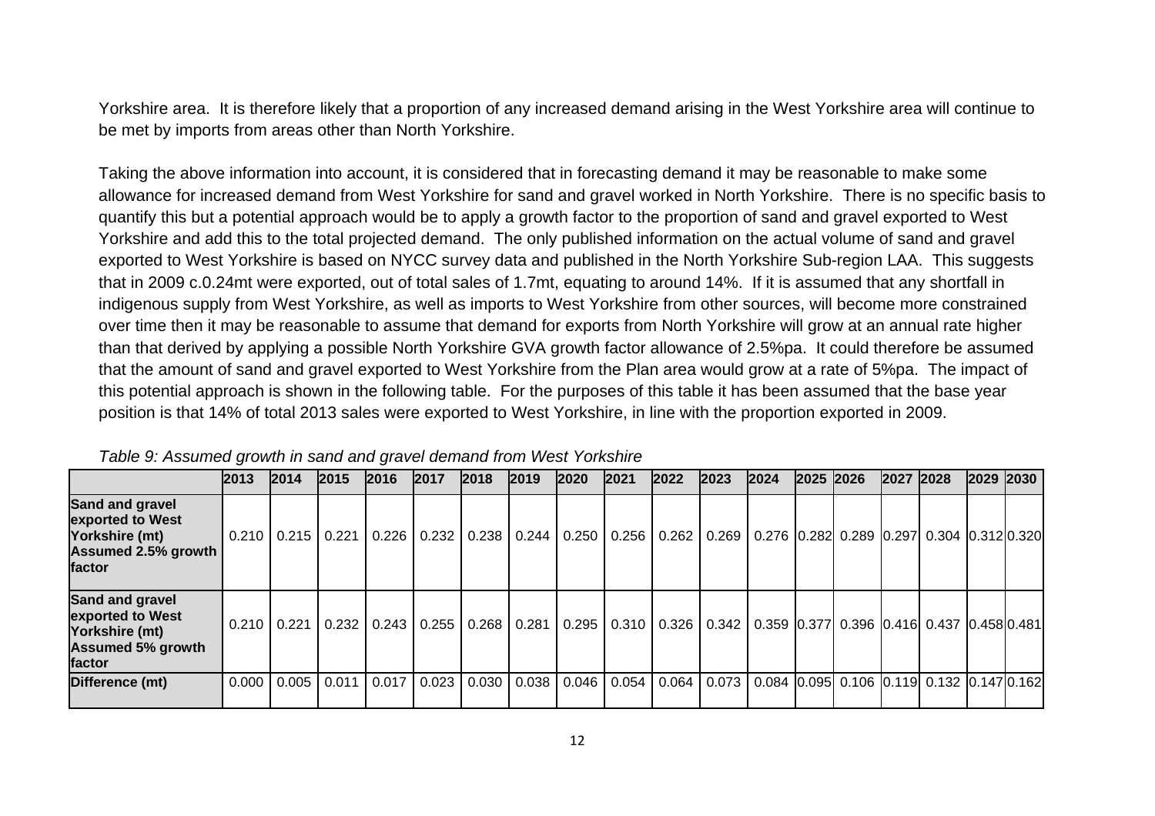Yorkshire area. It is therefore likely that a proportion of any increased demand arising in the West Yorkshire area will continue to be met by imports from areas other than North Yorkshire.

Taking the above information into account, it is considered that in forecasting demand it may be reasonable to make some allowance for increased demand from West Yorkshire for sand and gravel worked in North Yorkshire. There is no specific basis to quantify this but a potential approach would be to apply a growth factor to the proportion of sand and gravel exported to West Yorkshire and add this to the total projected demand. The only published information on the actual volume of sand and gravel exported to West Yorkshire is based on NYCC survey data and published in the North Yorkshire Sub-region LAA. This suggests that in 2009 c.0.24mt were exported, out of total sales of 1.7mt, equating to around 14%. If it is assumed that any shortfall in indigenous supply from West Yorkshire, as well as imports to West Yorkshire from other sources, will become more constrained over time then it may be reasonable to assume that demand for exports from North Yorkshire will grow at an annual rate higher than that derived by applying a possible North Yorkshire GVA growth factor allowance of 2.5%pa. It could therefore be assumed that the amount of sand and gravel exported to West Yorkshire from the Plan area would grow at a rate of 5%pa. The impact of this potential approach is shown in the following table. For the purposes of this table it has been assumed that the base year position is that 14% of total 2013 sales were exported to West Yorkshire, in line with the proportion exported in 2009.

|                                                                                               | 2013   | 2014              | 2015  | 2016            | 2017  | 2018  | 2019  | 2020  | 2021  | 2022            | 2023 | 2024                                                          | 2025 2026 | 2027 2028 | 2029 2030 |  |
|-----------------------------------------------------------------------------------------------|--------|-------------------|-------|-----------------|-------|-------|-------|-------|-------|-----------------|------|---------------------------------------------------------------|-----------|-----------|-----------|--|
| Sand and gravel<br>exported to West<br>Yorkshire (mt)<br><b>Assumed 2.5% growth</b><br>factor |        | 0.210 0.215 0.221 |       | 0.226           | 0.232 | 0.238 | 0.244 | 0.250 | 0.256 | 0.262           |      | 0.269   0.276   0.282   0.289   0.297   0.304   0.312   0.320 |           |           |           |  |
| Sand and gravel<br>exported to West<br>Yorkshire (mt)<br><b>Assumed 5% growth</b><br>factor   |        | 0.210   0.221     |       | $0.232$ $0.243$ | 0.255 | 0.268 | 0.281 | 0.295 |       | $0.310$   0.326 |      | 0.342 0.359 0.377 0.396 0.416 0.437 0.458 0.481               |           |           |           |  |
| Difference (mt)                                                                               | 0.0001 | 0.005             | 0.011 | 0.017           | 0.023 | 0.030 | 0.038 | 0.046 | 0.054 | 0.064           |      | 0.073   0.084   0.095   0.106   0.119   0.132   0.147   0.162 |           |           |           |  |

*Table 9: Assumed growth in sand and gravel demand from West Yorkshire*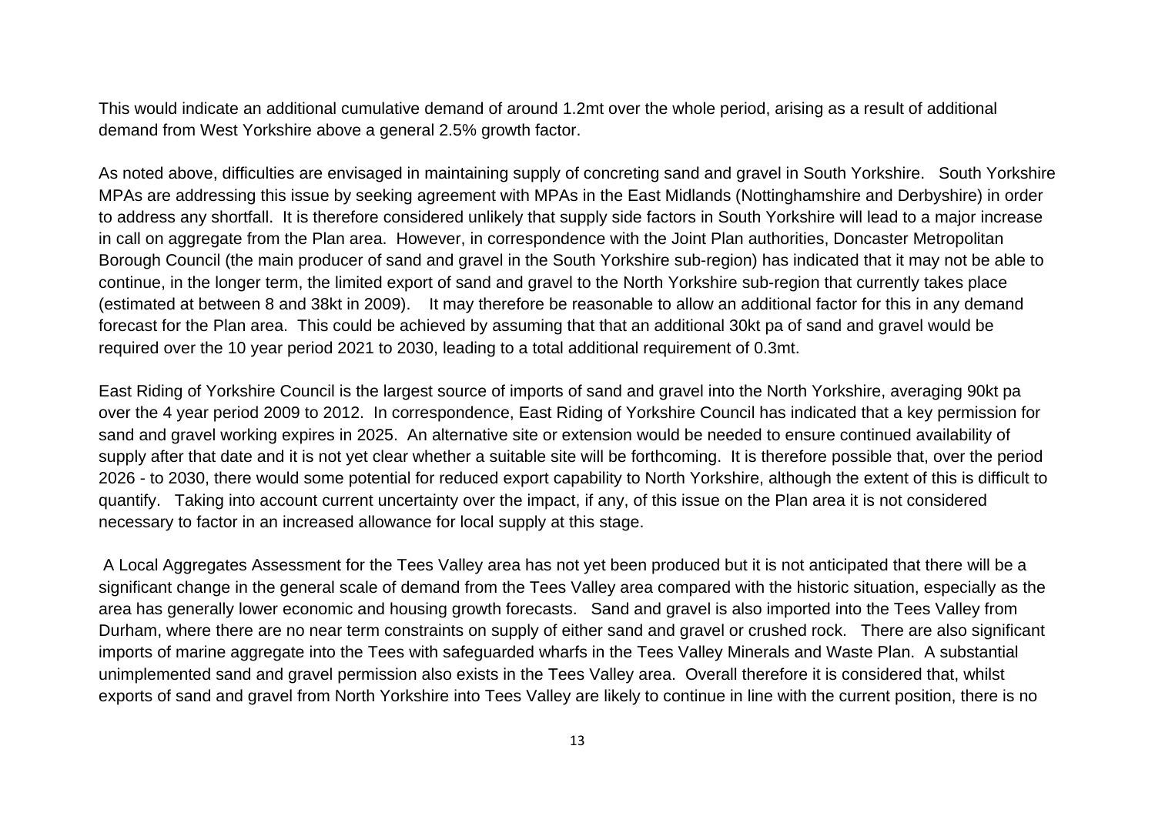This would indicate an additional cumulative demand of around 1.2mt over the whole period, arising as a result of additional demand from West Yorkshire above a general 2.5% growth factor.

As noted above, difficulties are envisaged in maintaining supply of concreting sand and gravel in South Yorkshire. South Yorkshire MPAs are addressing this issue by seeking agreement with MPAs in the East Midlands (Nottinghamshire and Derbyshire) in order to address any shortfall. It is therefore considered unlikely that supply side factors in South Yorkshire will lead to a major increase in call on aggregate from the Plan area. However, in correspondence with the Joint Plan authorities, Doncaster Metropolitan Borough Council (the main producer of sand and gravel in the South Yorkshire sub-region) has indicated that it may not be able to continue, in the longer term, the limited export of sand and gravel to the North Yorkshire sub-region that currently takes place (estimated at between 8 and 38kt in 2009). It may therefore be reasonable to allow an additional factor for this in any demand forecast for the Plan area. This could be achieved by assuming that that an additional 30kt pa of sand and gravel would be required over the 10 year period 2021 to 2030, leading to a total additional requirement of 0.3mt.

East Riding of Yorkshire Council is the largest source of imports of sand and gravel into the North Yorkshire, averaging 90kt pa over the 4 year period 2009 to 2012. In correspondence, East Riding of Yorkshire Council has indicated that a key permission for sand and gravel working expires in 2025. An alternative site or extension would be needed to ensure continued availability of supply after that date and it is not yet clear whether a suitable site will be forthcoming. It is therefore possible that, over the period 2026 - to 2030, there would some potential for reduced export capability to North Yorkshire, although the extent of this is difficult to quantify. Taking into account current uncertainty over the impact, if any, of this issue on the Plan area it is not considered necessary to factor in an increased allowance for local supply at this stage.

 A Local Aggregates Assessment for the Tees Valley area has not yet been produced but it is not anticipated that there will be a significant change in the general scale of demand from the Tees Valley area compared with the historic situation, especially as the area has generally lower economic and housing growth forecasts. Sand and gravel is also imported into the Tees Valley from Durham, where there are no near term constraints on supply of either sand and gravel or crushed rock. There are also significant imports of marine aggregate into the Tees with safeguarded wharfs in the Tees Valley Minerals and Waste Plan. A substantial unimplemented sand and gravel permission also exists in the Tees Valley area. Overall therefore it is considered that, whilst exports of sand and gravel from North Yorkshire into Tees Valley are likely to continue in line with the current position, there is no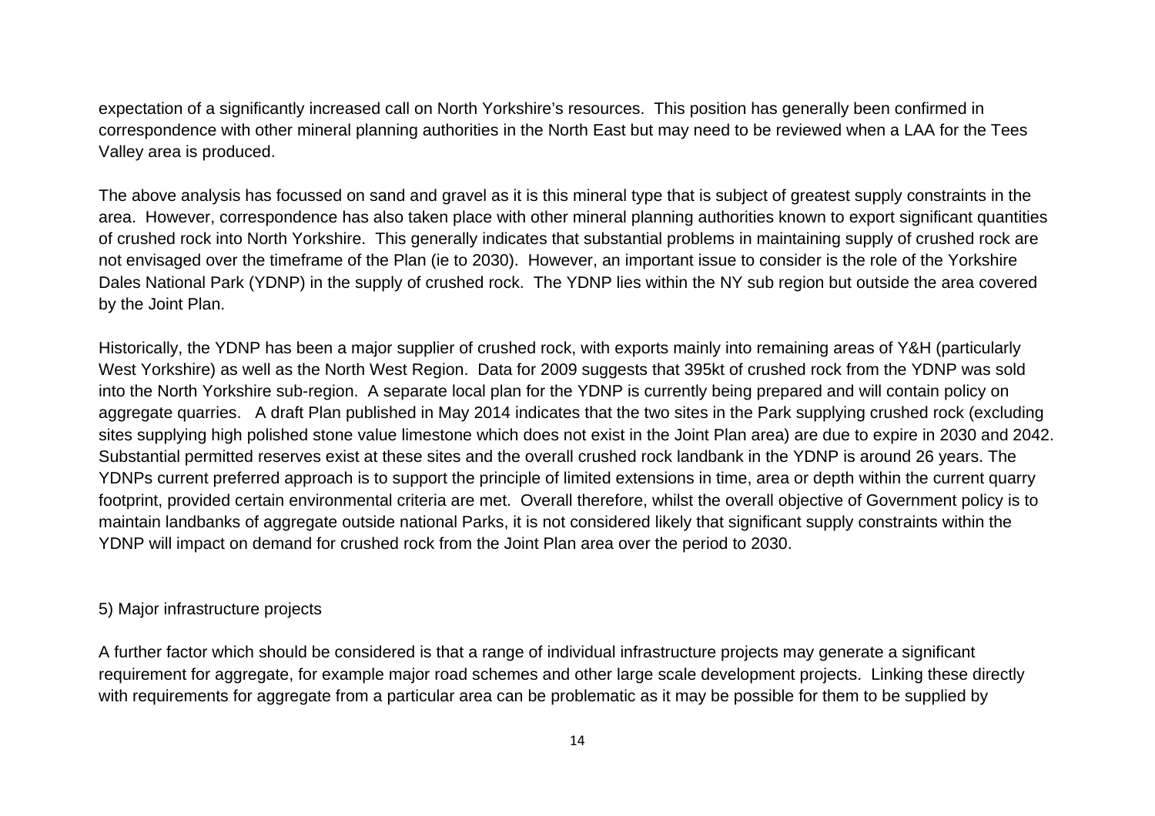expectation of a significantly increased call on North Yorkshire's resources. This position has generally been confirmed in correspondence with other mineral planning authorities in the North East but may need to be reviewed when a LAA for the Tees Valley area is produced.

The above analysis has focussed on sand and gravel as it is this mineral type that is subject of greatest supply constraints in the area. However, correspondence has also taken place with other mineral planning authorities known to export significant quantities of crushed rock into North Yorkshire. This generally indicates that substantial problems in maintaining supply of crushed rock are not envisaged over the timeframe of the Plan (ie to 2030). However, an important issue to consider is the role of the Yorkshire Dales National Park (YDNP) in the supply of crushed rock. The YDNP lies within the NY sub region but outside the area covered by the Joint Plan.

Historically, the YDNP has been a major supplier of crushed rock, with exports mainly into remaining areas of Y&H (particularly West Yorkshire) as well as the North West Region. Data for 2009 suggests that 395kt of crushed rock from the YDNP was sold into the North Yorkshire sub-region. A separate local plan for the YDNP is currently being prepared and will contain policy on aggregate quarries. A draft Plan published in May 2014 indicates that the two sites in the Park supplying crushed rock (excluding sites supplying high polished stone value limestone which does not exist in the Joint Plan area) are due to expire in 2030 and 2042. Substantial permitted reserves exist at these sites and the overall crushed rock landbank in the YDNP is around 26 years. The YDNPs current preferred approach is to support the principle of limited extensions in time, area or depth within the current quarry footprint, provided certain environmental criteria are met. Overall therefore, whilst the overall objective of Government policy is to maintain landbanks of aggregate outside national Parks, it is not considered likely that significant supply constraints within the YDNP will impact on demand for crushed rock from the Joint Plan area over the period to 2030.

#### 5) Major infrastructure projects

A further factor which should be considered is that a range of individual infrastructure projects may generate a significant requirement for aggregate, for example major road schemes and other large scale development projects. Linking these directly with requirements for aggregate from a particular area can be problematic as it may be possible for them to be supplied by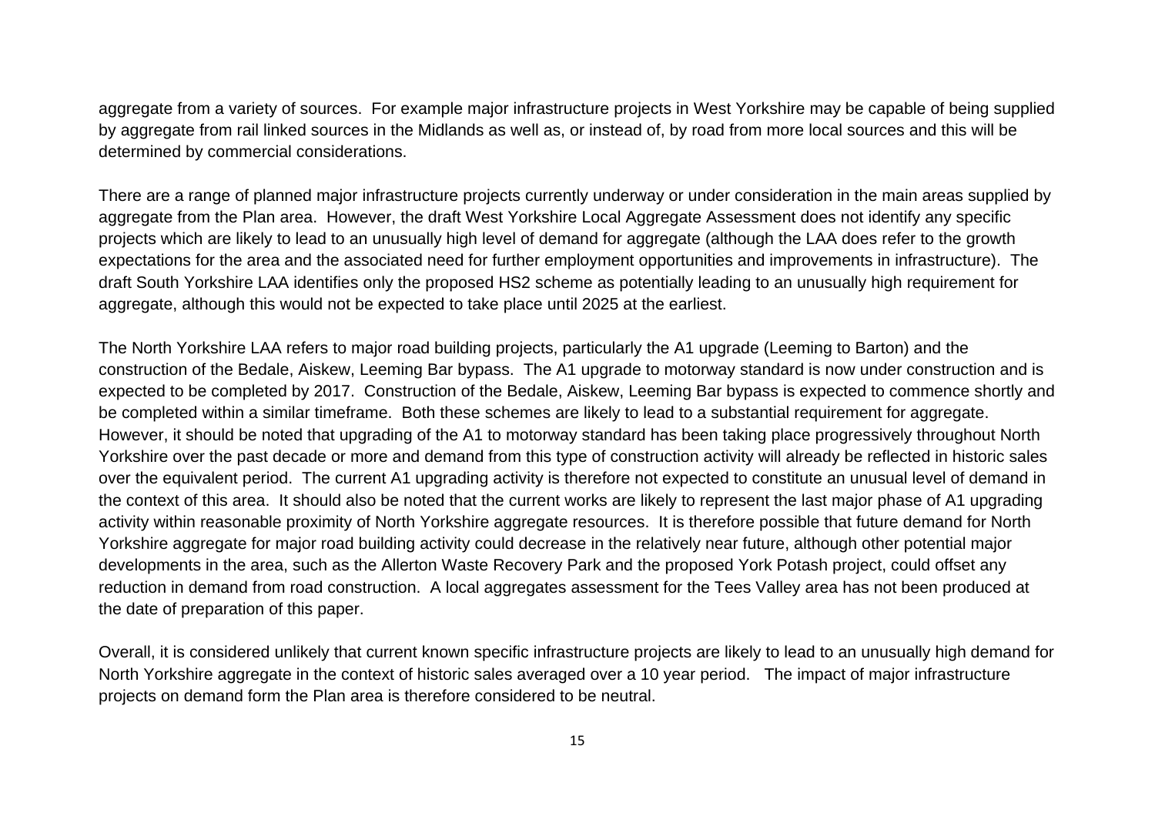aggregate from a variety of sources. For example major infrastructure projects in West Yorkshire may be capable of being supplied by aggregate from rail linked sources in the Midlands as well as, or instead of, by road from more local sources and this will be determined by commercial considerations.

There are a range of planned major infrastructure projects currently underway or under consideration in the main areas supplied by aggregate from the Plan area. However, the draft West Yorkshire Local Aggregate Assessment does not identify any specific projects which are likely to lead to an unusually high level of demand for aggregate (although the LAA does refer to the growth expectations for the area and the associated need for further employment opportunities and improvements in infrastructure). The draft South Yorkshire LAA identifies only the proposed HS2 scheme as potentially leading to an unusually high requirement for aggregate, although this would not be expected to take place until 2025 at the earliest.

The North Yorkshire LAA refers to major road building projects, particularly the A1 upgrade (Leeming to Barton) and the construction of the Bedale, Aiskew, Leeming Bar bypass. The A1 upgrade to motorway standard is now under construction and is expected to be completed by 2017. Construction of the Bedale, Aiskew, Leeming Bar bypass is expected to commence shortly and be completed within a similar timeframe. Both these schemes are likely to lead to a substantial requirement for aggregate. However, it should be noted that upgrading of the A1 to motorway standard has been taking place progressively throughout North Yorkshire over the past decade or more and demand from this type of construction activity will already be reflected in historic sales over the equivalent period. The current A1 upgrading activity is therefore not expected to constitute an unusual level of demand in the context of this area. It should also be noted that the current works are likely to represent the last major phase of A1 upgrading activity within reasonable proximity of North Yorkshire aggregate resources. It is therefore possible that future demand for North Yorkshire aggregate for major road building activity could decrease in the relatively near future, although other potential major developments in the area, such as the Allerton Waste Recovery Park and the proposed York Potash project, could offset any reduction in demand from road construction. A local aggregates assessment for the Tees Valley area has not been produced at the date of preparation of this paper.

Overall, it is considered unlikely that current known specific infrastructure projects are likely to lead to an unusually high demand for North Yorkshire aggregate in the context of historic sales averaged over a 10 year period. The impact of major infrastructure projects on demand form the Plan area is therefore considered to be neutral.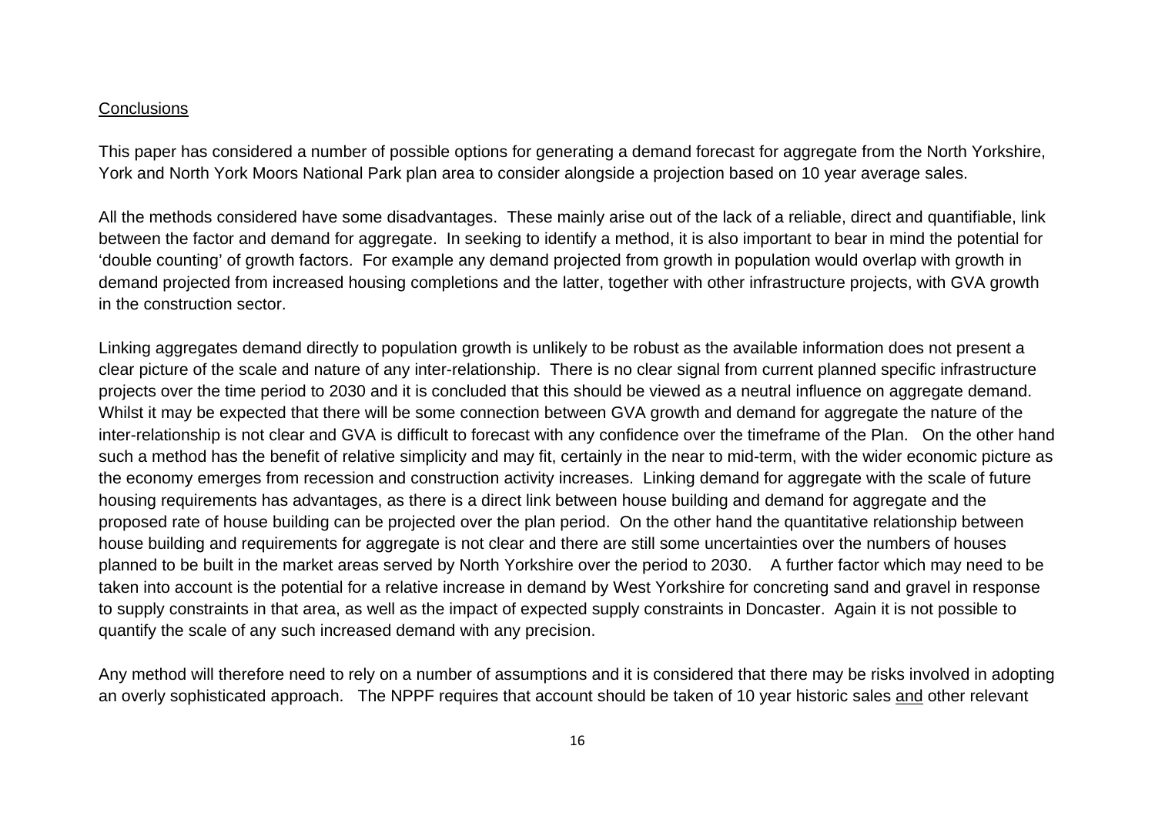#### Conclusions

This paper has considered a number of possible options for generating a demand forecast for aggregate from the North Yorkshire, York and North York Moors National Park plan area to consider alongside a projection based on 10 year average sales.

All the methods considered have some disadvantages. These mainly arise out of the lack of a reliable, direct and quantifiable, link between the factor and demand for aggregate. In seeking to identify a method, it is also important to bear in mind the potential for 'double counting' of growth factors. For example any demand projected from growth in population would overlap with growth in demand projected from increased housing completions and the latter, together with other infrastructure projects, with GVA growth in the construction sector.

Linking aggregates demand directly to population growth is unlikely to be robust as the available information does not present a clear picture of the scale and nature of any inter-relationship. There is no clear signal from current planned specific infrastructure projects over the time period to 2030 and it is concluded that this should be viewed as a neutral influence on aggregate demand. Whilst it may be expected that there will be some connection between GVA growth and demand for aggregate the nature of the inter-relationship is not clear and GVA is difficult to forecast with any confidence over the timeframe of the Plan. On the other hand such a method has the benefit of relative simplicity and may fit, certainly in the near to mid-term, with the wider economic picture as the economy emerges from recession and construction activity increases. Linking demand for aggregate with the scale of future housing requirements has advantages, as there is a direct link between house building and demand for aggregate and the proposed rate of house building can be projected over the plan period. On the other hand the quantitative relationship between house building and requirements for aggregate is not clear and there are still some uncertainties over the numbers of houses planned to be built in the market areas served by North Yorkshire over the period to 2030. A further factor which may need to be taken into account is the potential for a relative increase in demand by West Yorkshire for concreting sand and gravel in response to supply constraints in that area, as well as the impact of expected supply constraints in Doncaster. Again it is not possible to quantify the scale of any such increased demand with any precision.

Any method will therefore need to rely on a number of assumptions and it is considered that there may be risks involved in adopting an overly sophisticated approach. The NPPF requires that account should be taken of 10 year historic sales and other relevant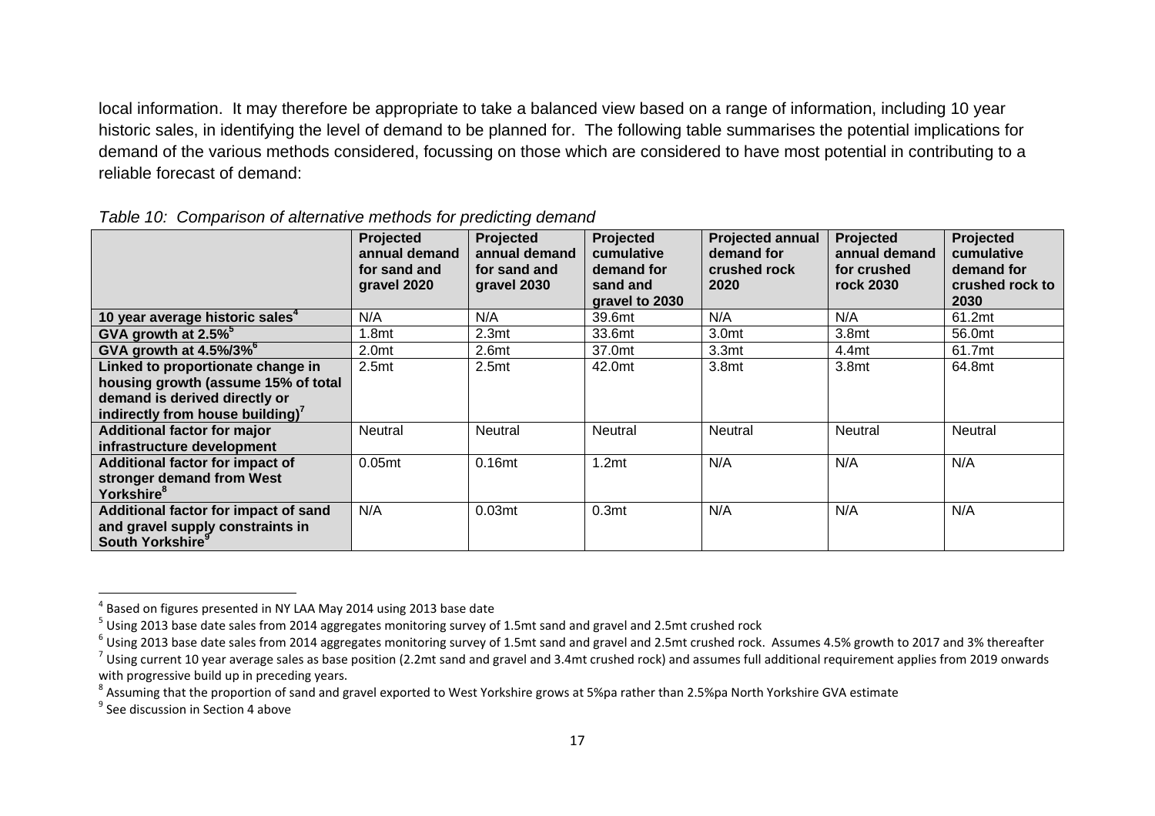local information. It may therefore be appropriate to take a balanced view based on a range of information, including 10 year historic sales, in identifying the level of demand to be planned for. The following table summarises the potential implications for demand of the various methods considered, focussing on those which are considered to have most potential in contributing to a reliable forecast of demand:

|                                                                                                                                                           | Projected<br>annual demand<br>for sand and<br>gravel 2020 | Projected<br>annual demand<br>for sand and<br>gravel 2030 | Projected<br>cumulative<br>demand for<br>sand and<br>gravel to 2030 | <b>Projected annual</b><br>demand for<br>crushed rock<br>2020 | Projected<br>annual demand<br>for crushed<br>rock 2030 | <b>Projected</b><br>cumulative<br>demand for<br>crushed rock to<br>2030 |
|-----------------------------------------------------------------------------------------------------------------------------------------------------------|-----------------------------------------------------------|-----------------------------------------------------------|---------------------------------------------------------------------|---------------------------------------------------------------|--------------------------------------------------------|-------------------------------------------------------------------------|
| 10 year average historic sales <sup>4</sup>                                                                                                               | N/A                                                       | N/A                                                       | 39.6mt                                                              | N/A                                                           | N/A                                                    | 61.2mt                                                                  |
| GVA growth at 2.5% <sup>5</sup>                                                                                                                           | .8mt                                                      | 2.3 <sub>mt</sub>                                         | 33.6mt                                                              | 3.0mt                                                         | 3.8mt                                                  | 56.0mt                                                                  |
| GVA growth at 4.5%/3% <sup>6</sup>                                                                                                                        | 2.0 <sub>mt</sub>                                         | 2.6 <sub>mt</sub>                                         | 37.0mt                                                              | 3.3 <sub>mt</sub>                                             | 4.4mt                                                  | 61.7mt                                                                  |
| Linked to proportionate change in<br>housing growth (assume 15% of total<br>demand is derived directly or<br>indirectly from house building) <sup>7</sup> | 2.5 <sub>mt</sub>                                         | 2.5 <sub>mt</sub>                                         | 42.0mt                                                              | 3.8mt                                                         | 3.8mt                                                  | 64.8mt                                                                  |
| <b>Additional factor for major</b><br>infrastructure development                                                                                          | <b>Neutral</b>                                            | Neutral                                                   | <b>Neutral</b>                                                      | Neutral                                                       | Neutral                                                | Neutral                                                                 |
| Additional factor for impact of<br>stronger demand from West<br>Yorkshire <sup>8</sup>                                                                    | 0.05 <sub>mt</sub>                                        | 0.16 <sub>mt</sub>                                        | 1.2 <sub>mt</sub>                                                   | N/A                                                           | N/A                                                    | N/A                                                                     |
| Additional factor for impact of sand<br>and gravel supply constraints in<br>South Yorkshire <sup>9</sup>                                                  | N/A                                                       | 0.03 <sub>mt</sub>                                        | 0.3 <sub>mt</sub>                                                   | N/A                                                           | N/A                                                    | N/A                                                                     |

|  |  |  |  | Table 10: Comparison of alternative methods for predicting demand |
|--|--|--|--|-------------------------------------------------------------------|
|--|--|--|--|-------------------------------------------------------------------|

 $^4$  Based on figures presented in NY LAA May 2014 using 2013 base date

 $^5$  Using 2013 base date sales from 2014 aggregates monitoring survey of 1.5mt sand and gravel and 2.5mt crushed rock

 $^6$  Using 2013 base date sales from 2014 aggregates monitoring survey of 1.5mt sand and gravel and 2.5mt crushed rock. Assumes 4.5% growth to 2017 and 3% thereafter

 $^7$  Using current 10 year average sales as base position (2.2mt sand and gravel and 3.4mt crushed rock) and assumes full additional requirement applies from 2019 onwards with progressive build up in preceding years.

 $^8$  Assuming that the proportion of sand and gravel exported to West Yorkshire grows at 5%pa rather than 2.5%pa North Yorkshire GVA estimate

 $^9$  See discussion in Section 4 above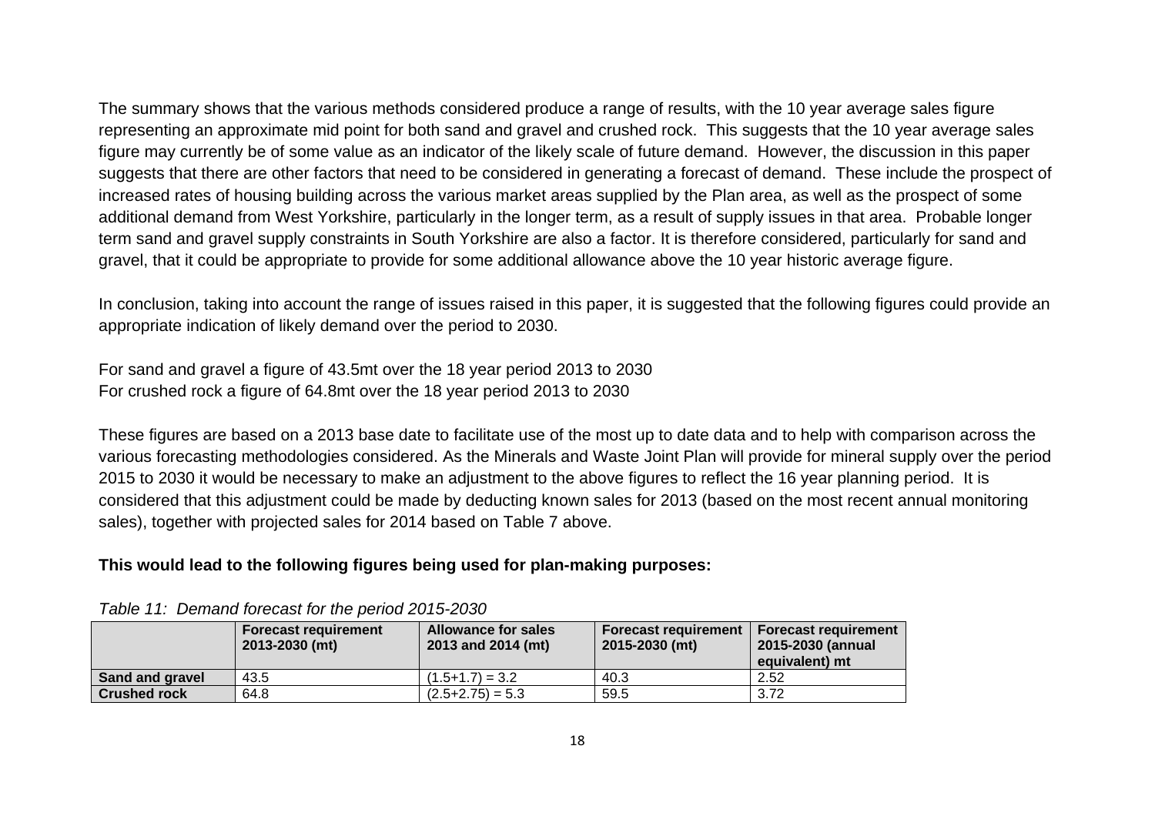The summary shows that the various methods considered produce a range of results, with the 10 year average sales figure representing an approximate mid point for both sand and gravel and crushed rock. This suggests that the 10 year average sales figure may currently be of some value as an indicator of the likely scale of future demand. However, the discussion in this paper suggests that there are other factors that need to be considered in generating a forecast of demand. These include the prospect of increased rates of housing building across the various market areas supplied by the Plan area, as well as the prospect of some additional demand from West Yorkshire, particularly in the longer term, as a result of supply issues in that area. Probable longer term sand and gravel supply constraints in South Yorkshire are also a factor. It is therefore considered, particularly for sand and gravel, that it could be appropriate to provide for some additional allowance above the 10 year historic average figure.

In conclusion, taking into account the range of issues raised in this paper, it is suggested that the following figures could provide an appropriate indication of likely demand over the period to 2030.

For sand and gravel a figure of 43.5mt over the 18 year period 2013 to 2030 For crushed rock a figure of 64.8mt over the 18 year period 2013 to 2030

These figures are based on a 2013 base date to facilitate use of the most up to date data and to help with comparison across the various forecasting methodologies considered. As the Minerals and Waste Joint Plan will provide for mineral supply over the period 2015 to 2030 it would be necessary to make an adjustment to the above figures to reflect the 16 year planning period. It is considered that this adjustment could be made by deducting known sales for 2013 (based on the most recent annual monitoring sales), together with projected sales for 2014 based on Table 7 above.

#### **This would lead to the following figures being used for plan-making purposes:**

|                     | <b>Forecast requirement</b><br>2013-2030 (mt) | <b>Allowance for sales</b><br>2013 and 2014 (mt) | <b>Forecast requirement</b><br>2015-2030 (mt) | <b>Forecast requirement</b><br>2015-2030 (annual<br>equivalent) mt |
|---------------------|-----------------------------------------------|--------------------------------------------------|-----------------------------------------------|--------------------------------------------------------------------|
| Sand and gravel     | 43.5                                          | $(1.5+1.7) = 3.2$                                | 40.3                                          | 2.52                                                               |
| <b>Crushed rock</b> | 64.8                                          | $(2.5+2.75) = 5.3$                               | 59.5                                          | 3.72                                                               |

*Table 11: Demand forecast for the period 2015-2030*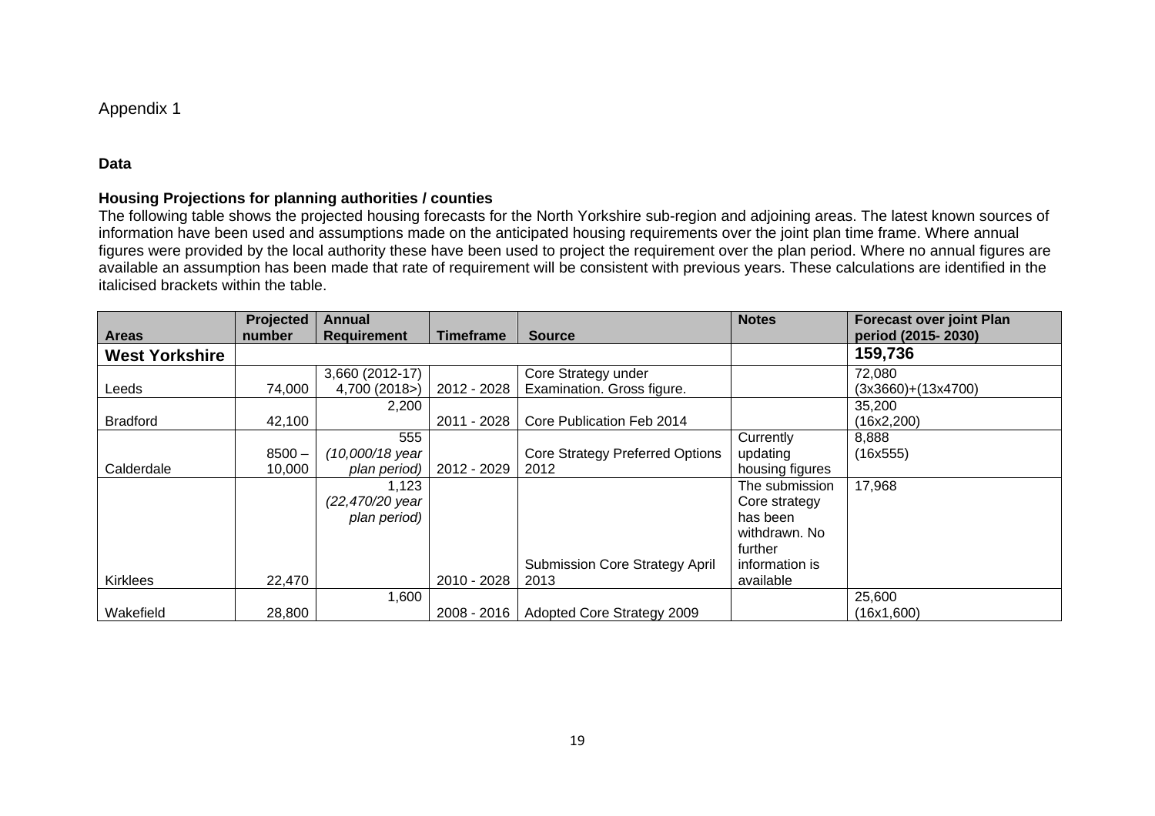#### Appendix 1

#### **Data**

#### **Housing Projections for planning authorities / counties**

The following table shows the projected housing forecasts for the North Yorkshire sub-region and adjoining areas. The latest known sources of information have been used and assumptions made on the anticipated housing requirements over the joint plan time frame. Where annual figures were provided by the local authority these have been used to project the requirement over the plan period. Where no annual figures are available an assumption has been made that rate of requirement will be consistent with previous years. These calculations are identified in the italicised brackets within the table.

|                       | <b>Projected</b> | Annual             |             |                                       | <b>Notes</b>    | <b>Forecast over joint Plan</b> |
|-----------------------|------------------|--------------------|-------------|---------------------------------------|-----------------|---------------------------------|
| <b>Areas</b>          | number           | <b>Requirement</b> | Timeframe   | <b>Source</b>                         |                 | period (2015-2030)              |
| <b>West Yorkshire</b> |                  |                    |             |                                       |                 | 159,736                         |
|                       |                  | 3,660 (2012-17)    |             | Core Strategy under                   |                 | 72,080                          |
| Leeds                 | 74,000           | 4,700 (2018>)      | 2012 - 2028 | Examination. Gross figure.            |                 | $(3x3660)+(13x4700)$            |
|                       |                  | 2,200              |             |                                       |                 | 35,200                          |
| <b>Bradford</b>       | 42,100           |                    | 2011 - 2028 | Core Publication Feb 2014             |                 | (16x2,200)                      |
|                       |                  | 555                |             |                                       | Currently       | 8,888                           |
|                       | $8500 -$         | (10,000/18 year    |             | Core Strategy Preferred Options       | updating        | (16x555)                        |
| Calderdale            | 10,000           | plan period)       | 2012 - 2029 | 2012                                  | housing figures |                                 |
|                       |                  | 1,123              |             |                                       | The submission  | 17,968                          |
|                       |                  | (22,470/20 year    |             |                                       | Core strategy   |                                 |
|                       |                  | plan period)       |             |                                       | has been        |                                 |
|                       |                  |                    |             |                                       | withdrawn. No   |                                 |
|                       |                  |                    |             |                                       | further         |                                 |
|                       |                  |                    |             | <b>Submission Core Strategy April</b> | information is  |                                 |
| <b>Kirklees</b>       | 22,470           |                    | 2010 - 2028 | 2013                                  | available       |                                 |
|                       |                  | 1,600              |             |                                       |                 | 25,600                          |
| Wakefield             | 28,800           |                    | 2008 - 2016 | Adopted Core Strategy 2009            |                 | (16x1,600)                      |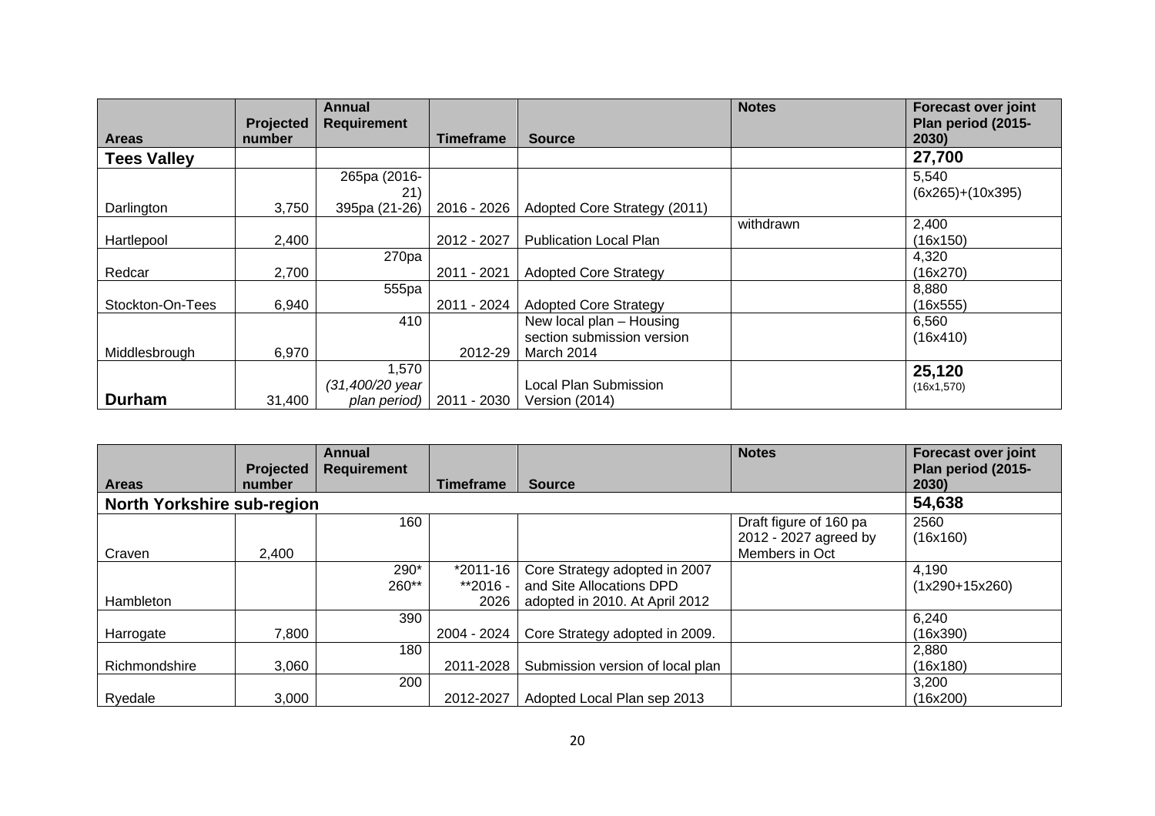|                    | Projected | Annual<br><b>Requirement</b> |                  |                               | <b>Notes</b> | Forecast over joint<br>Plan period (2015- |
|--------------------|-----------|------------------------------|------------------|-------------------------------|--------------|-------------------------------------------|
| <b>Areas</b>       | number    |                              | <b>Timeframe</b> | <b>Source</b>                 |              | 2030)                                     |
| <b>Tees Valley</b> |           |                              |                  |                               |              | 27,700                                    |
|                    |           | 265pa (2016-                 |                  |                               |              | 5,540                                     |
|                    |           | 21)                          |                  |                               |              | $(6x265)+(10x395)$                        |
| Darlington         | 3,750     | 395pa (21-26)                | 2016 - 2026      | Adopted Core Strategy (2011)  |              |                                           |
|                    |           |                              |                  |                               | withdrawn    | 2,400                                     |
| Hartlepool         | 2,400     |                              | 2012 - 2027      | <b>Publication Local Plan</b> |              | (16x150)                                  |
|                    |           | 270 <sub>pa</sub>            |                  |                               |              | 4,320                                     |
| Redcar             | 2,700     |                              | 2011 - 2021      | <b>Adopted Core Strategy</b>  |              | (16x270)                                  |
|                    |           | 555pa                        |                  |                               |              | 8,880                                     |
| Stockton-On-Tees   | 6,940     |                              | 2011 - 2024      | <b>Adopted Core Strategy</b>  |              | (16x555)                                  |
|                    |           | 410                          |                  | New local plan - Housing      |              | 6,560                                     |
|                    |           |                              |                  | section submission version    |              | (16x410)                                  |
| Middlesbrough      | 6,970     |                              | 2012-29          | March 2014                    |              |                                           |
|                    |           | 1,570                        |                  |                               |              | 25,120                                    |
|                    |           | (31,400/20 year              |                  | Local Plan Submission         |              | (16x1, 570)                               |
| <b>Durham</b>      | 31.400    | plan period)                 | 2011 - 2030      | Version (2014)                |              |                                           |

|                                   |                            | Annual             |                              |                                                                                             | <b>Notes</b>                                                      | <b>Forecast over joint</b>  |
|-----------------------------------|----------------------------|--------------------|------------------------------|---------------------------------------------------------------------------------------------|-------------------------------------------------------------------|-----------------------------|
| <b>Areas</b>                      | <b>Projected</b><br>number | <b>Requirement</b> | Timeframe                    | <b>Source</b>                                                                               |                                                                   | Plan period (2015-<br>2030) |
| <b>North Yorkshire sub-region</b> |                            |                    |                              |                                                                                             |                                                                   | 54,638                      |
| Craven                            | 2,400                      | 160                |                              |                                                                                             | Draft figure of 160 pa<br>2012 - 2027 agreed by<br>Members in Oct | 2560<br>(16x160)            |
| Hambleton                         |                            | 290*<br>260**      | *2011-16<br>**2016 -<br>2026 | Core Strategy adopted in 2007<br>and Site Allocations DPD<br>adopted in 2010. At April 2012 |                                                                   | 4,190<br>$(1x290+15x260)$   |
| Harrogate                         | 7,800                      | 390                | 2004 - 2024                  | Core Strategy adopted in 2009.                                                              |                                                                   | 6,240<br>(16x390)           |
| Richmondshire                     | 3,060                      | 180                | 2011-2028                    | Submission version of local plan                                                            |                                                                   | 2,880<br>(16x180)           |
| Ryedale                           | 3,000                      | 200                | 2012-2027                    | Adopted Local Plan sep 2013                                                                 |                                                                   | 3,200<br>(16x200)           |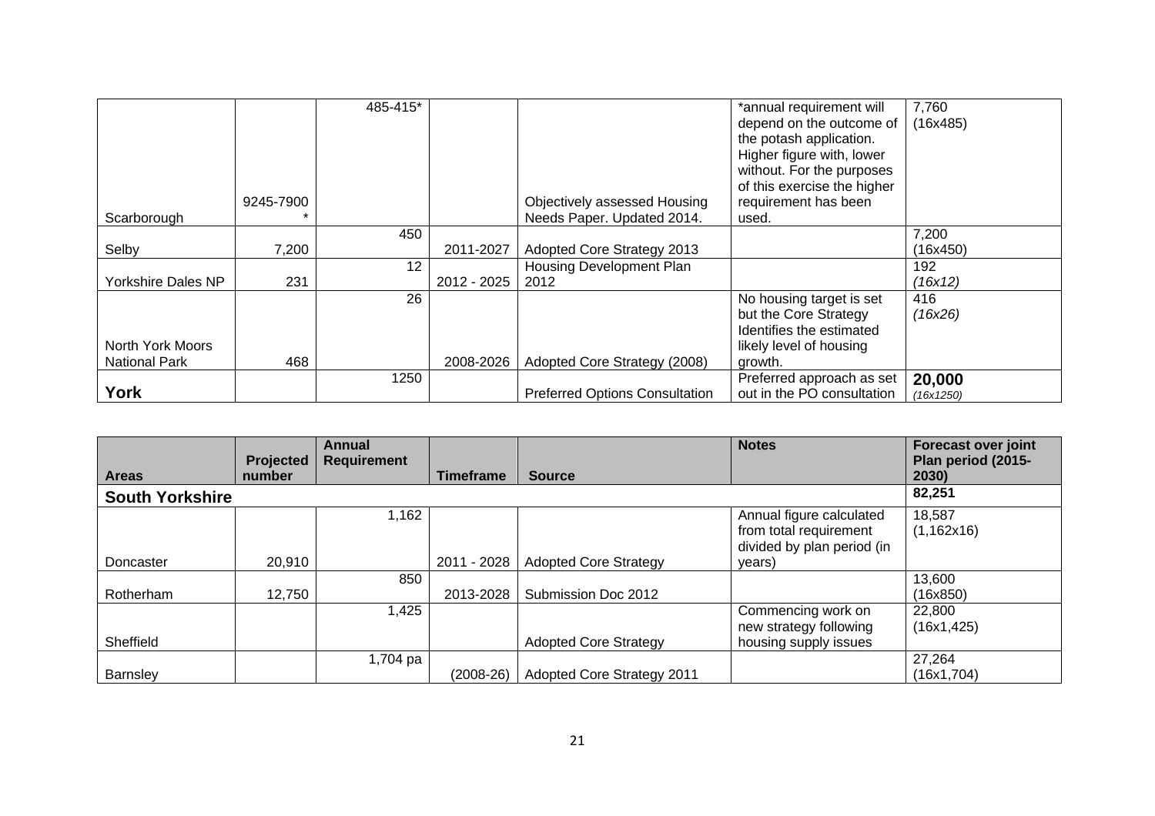|                      |           | 485-415* |             |                                       | *annual requirement will    | 7,760     |
|----------------------|-----------|----------|-------------|---------------------------------------|-----------------------------|-----------|
|                      |           |          |             |                                       | depend on the outcome of    | (16x485)  |
|                      |           |          |             |                                       | the potash application.     |           |
|                      |           |          |             |                                       | Higher figure with, lower   |           |
|                      |           |          |             |                                       | without. For the purposes   |           |
|                      |           |          |             |                                       | of this exercise the higher |           |
|                      | 9245-7900 |          |             | Objectively assessed Housing          | requirement has been        |           |
| Scarborough          |           |          |             | Needs Paper. Updated 2014.            | used.                       |           |
|                      |           | 450      |             |                                       |                             | 7,200     |
| Selby                | 7,200     |          | 2011-2027   | Adopted Core Strategy 2013            |                             | (16x450)  |
|                      |           | 12       |             | Housing Development Plan              |                             | 192       |
| Yorkshire Dales NP   | 231       |          | 2012 - 2025 | 2012                                  |                             | (16x12)   |
|                      |           | 26       |             |                                       | No housing target is set    | 416       |
|                      |           |          |             |                                       | but the Core Strategy       | (16x26)   |
|                      |           |          |             |                                       | Identifies the estimated    |           |
| North York Moors     |           |          |             |                                       | likely level of housing     |           |
| <b>National Park</b> | 468       |          | 2008-2026   | Adopted Core Strategy (2008)          | growth.                     |           |
|                      |           | 1250     |             |                                       | Preferred approach as set   | 20,000    |
| York                 |           |          |             | <b>Preferred Options Consultation</b> | out in the PO consultation  | (16x1250) |

|                        | <b>Projected</b> | Annual<br><b>Requirement</b> |                  |                                   | <b>Notes</b>               | <b>Forecast over joint</b><br>Plan period (2015- |
|------------------------|------------------|------------------------------|------------------|-----------------------------------|----------------------------|--------------------------------------------------|
| <b>Areas</b>           | number           |                              | <b>Timeframe</b> | <b>Source</b>                     |                            | 2030)                                            |
| <b>South Yorkshire</b> |                  |                              |                  |                                   |                            | 82,251                                           |
|                        |                  | 1,162                        |                  |                                   | Annual figure calculated   | 18,587                                           |
|                        |                  |                              |                  |                                   | from total requirement     | (1,162x16)                                       |
|                        |                  |                              |                  |                                   | divided by plan period (in |                                                  |
| Doncaster              | 20,910           |                              | 2011 - 2028      | <b>Adopted Core Strategy</b>      | years)                     |                                                  |
|                        |                  | 850                          |                  |                                   |                            | 13,600                                           |
| Rotherham              | 12,750           |                              | 2013-2028        | Submission Doc 2012               |                            | (16x850)                                         |
|                        |                  | 1,425                        |                  |                                   | Commencing work on         | 22,800                                           |
|                        |                  |                              |                  |                                   | new strategy following     | (16x1, 425)                                      |
| Sheffield              |                  |                              |                  | <b>Adopted Core Strategy</b>      | housing supply issues      |                                                  |
|                        |                  | 1,704 pa                     |                  |                                   |                            | 27,264                                           |
| Barnsley               |                  |                              | $(2008-26)$      | <b>Adopted Core Strategy 2011</b> |                            | (16x1,704)                                       |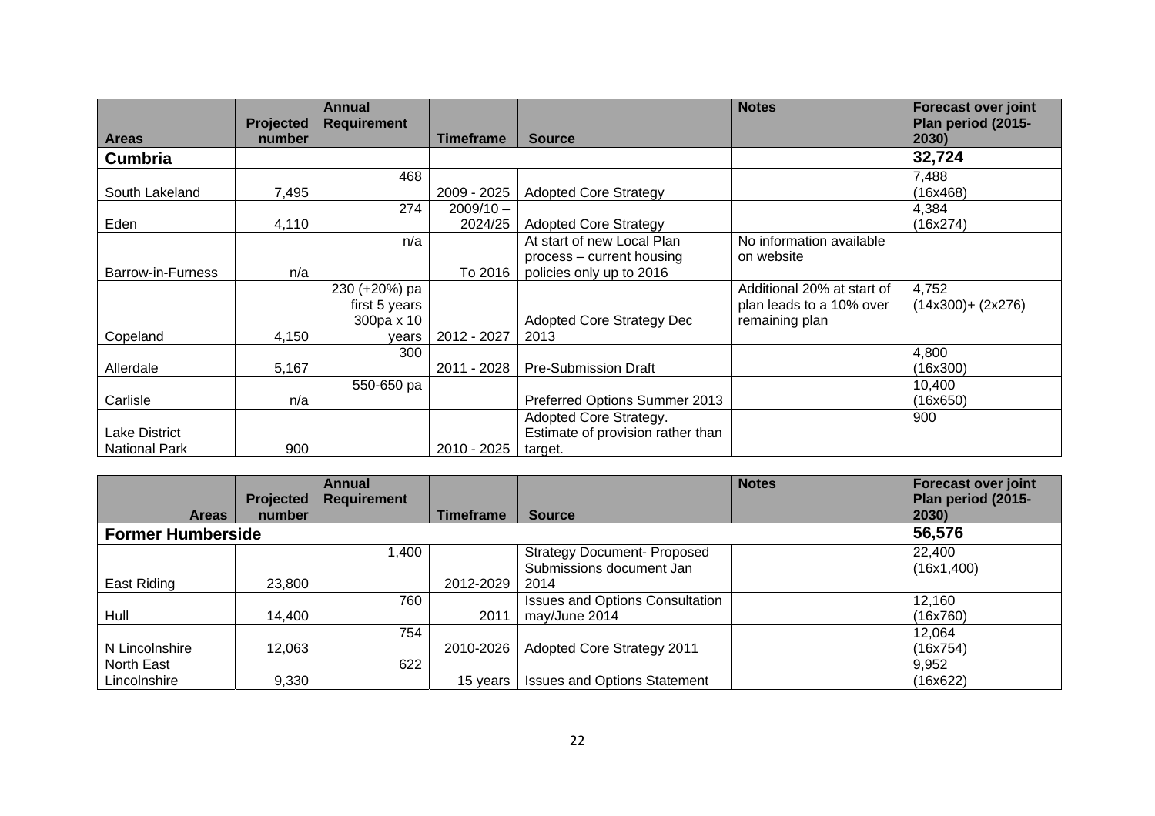|                      |           | Annual             |                  |                                   | <b>Notes</b>               | <b>Forecast over joint</b> |
|----------------------|-----------|--------------------|------------------|-----------------------------------|----------------------------|----------------------------|
|                      | Projected | <b>Requirement</b> |                  |                                   |                            | Plan period (2015-         |
| <b>Areas</b>         | number    |                    | <b>Timeframe</b> | <b>Source</b>                     |                            | 2030)                      |
| <b>Cumbria</b>       |           |                    |                  |                                   |                            | 32,724                     |
|                      |           | 468                |                  |                                   |                            | 7,488                      |
| South Lakeland       | 7,495     |                    | 2009 - 2025      | <b>Adopted Core Strategy</b>      |                            | (16x468)                   |
|                      |           | 274                | $2009/10 -$      |                                   |                            | 4,384                      |
| Eden                 | 4,110     |                    | 2024/25          | <b>Adopted Core Strategy</b>      |                            | (16x274)                   |
|                      |           | n/a                |                  | At start of new Local Plan        | No information available   |                            |
|                      |           |                    |                  | process – current housing         | on website                 |                            |
| Barrow-in-Furness    | n/a       |                    | To 2016          | policies only up to 2016          |                            |                            |
|                      |           | 230 (+20%) pa      |                  |                                   | Additional 20% at start of | 4,752                      |
|                      |           | first 5 years      |                  |                                   | plan leads to a 10% over   | $(14x300) + (2x276)$       |
|                      |           | 300pa x 10         |                  | <b>Adopted Core Strategy Dec</b>  | remaining plan             |                            |
| Copeland             | 4,150     | years              | 2012 - 2027      | 2013                              |                            |                            |
|                      |           | 300                |                  |                                   |                            | 4,800                      |
| Allerdale            | 5,167     |                    | 2011 - 2028      | <b>Pre-Submission Draft</b>       |                            | (16x300)                   |
|                      |           | 550-650 pa         |                  |                                   |                            | 10.400                     |
| Carlisle             | n/a       |                    |                  | Preferred Options Summer 2013     |                            | (16x650)                   |
|                      |           |                    |                  | Adopted Core Strategy.            |                            | 900                        |
| <b>Lake District</b> |           |                    |                  | Estimate of provision rather than |                            |                            |
| <b>National Park</b> | 900       |                    | 2010 - 2025      | target.                           |                            |                            |

|                          |                  | <b>Annual</b>      |                  |                                        | <b>Notes</b> | <b>Forecast over joint</b> |
|--------------------------|------------------|--------------------|------------------|----------------------------------------|--------------|----------------------------|
|                          | <b>Projected</b> | <b>Requirement</b> |                  |                                        |              | Plan period (2015-         |
| <b>Areas</b>             | number           |                    | <b>Timeframe</b> | <b>Source</b>                          |              | 2030)                      |
| <b>Former Humberside</b> |                  |                    |                  |                                        |              | 56,576                     |
|                          |                  | 1,400              |                  | <b>Strategy Document- Proposed</b>     |              | 22,400                     |
|                          |                  |                    |                  | Submissions document Jan               |              | (16x1, 400)                |
| East Riding              | 23,800           |                    | 2012-2029        | 2014                                   |              |                            |
|                          |                  | 760                |                  | <b>Issues and Options Consultation</b> |              | 12,160                     |
| Hull                     | 14,400           |                    | 2011             | may/June 2014                          |              | (16x760)                   |
|                          |                  | 754                |                  |                                        |              | 12,064                     |
| N Lincolnshire           | 12,063           |                    | 2010-2026        | <b>Adopted Core Strategy 2011</b>      |              | (16x754)                   |
| North East               |                  | 622                |                  |                                        |              | 9,952                      |
| Lincolnshire             | 9,330            |                    | 15 vears         | <b>Issues and Options Statement</b>    |              | (16x622)                   |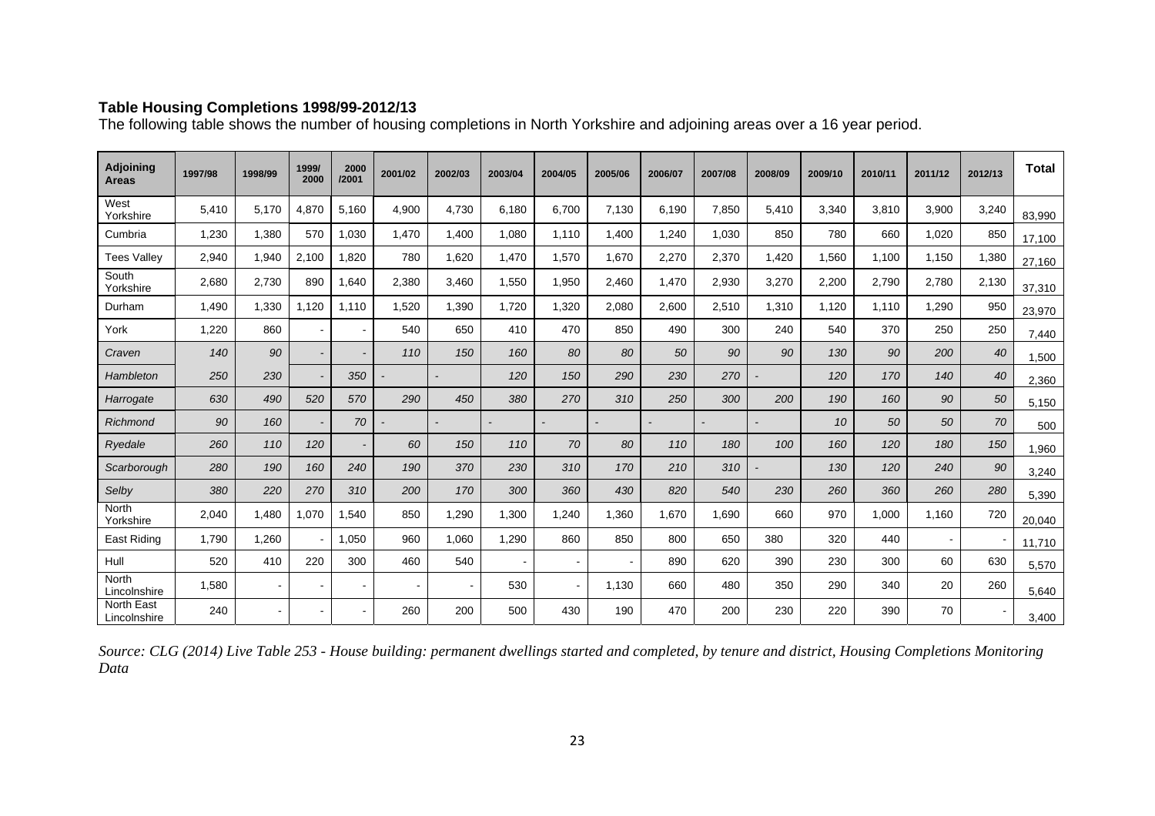#### **Table Housing Completions 1998/99-2012/13**

The following table shows the number of housing completions in North Yorkshire and adjoining areas over a 16 year period.

| <b>Adjoining</b><br><b>Areas</b>  | 1997/98 | 1998/99 | 1999/<br>2000  | 2000<br>/2001            | 2001/02 | 2002/03        | 2003/04 | 2004/05 | 2005/06 | 2006/07 | 2007/08 | 2008/09 | 2009/10 | 2010/11 | 2011/12 | 2012/13        | <b>Total</b> |
|-----------------------------------|---------|---------|----------------|--------------------------|---------|----------------|---------|---------|---------|---------|---------|---------|---------|---------|---------|----------------|--------------|
| West<br>Yorkshire                 | 5,410   | 5.170   | 4,870          | 5,160                    | 4,900   | 4,730          | 6,180   | 6,700   | 7,130   | 6,190   | 7,850   | 5,410   | 3,340   | 3.810   | 3,900   | 3,240          | 83,990       |
| Cumbria                           | 1,230   | 1,380   | 570            | 1,030                    | 1,470   | 1,400          | 1,080   | 1.110   | 1,400   | 1,240   | 1,030   | 850     | 780     | 660     | 1,020   | 850            | 17,100       |
| <b>Tees Valley</b>                | 2,940   | 1.940   | 2,100          | 1,820                    | 780     | 1.620          | 1,470   | 1,570   | 1,670   | 2,270   | 2,370   | 1,420   | 1,560   | 1.100   | 1.150   | 1,380          | 27,160       |
| South<br>Yorkshire                | 2,680   | 2.730   | 890            | 1,640                    | 2,380   | 3,460          | 1,550   | 1,950   | 2,460   | 1,470   | 2,930   | 3,270   | 2,200   | 2,790   | 2,780   | 2,130          | 37,310       |
| Durham                            | 1,490   | 1.330   | 1.120          | 1,110                    | 1.520   | 1,390          | 1,720   | 1.320   | 2,080   | 2,600   | 2,510   | 1,310   | 1.120   | 1.110   | 1.290   | 950            | 23,970       |
| York                              | 1,220   | 860     | $\sim$         | $\overline{\phantom{a}}$ | 540     | 650            | 410     | 470     | 850     | 490     | 300     | 240     | 540     | 370     | 250     | 250            | 7,440        |
| Craven                            | 140     | 90      |                |                          | 110     | 150            | 160     | 80      | 80      | 50      | 90      | 90      | 130     | 90      | 200     | 40             | 1,500        |
| Hambleton                         | 250     | 230     |                | 350                      |         | $\blacksquare$ | 120     | 150     | 290     | 230     | 270     |         | 120     | 170     | 140     | 40             | 2,360        |
| Harrogate                         | 630     | 490     | 520            | 570                      | 290     | 450            | 380     | 270     | 310     | 250     | 300     | 200     | 190     | 160     | 90      | 50             | 5,150        |
| Richmond                          | 90      | 160     |                | 70                       |         |                |         |         |         |         |         |         | 10      | 50      | 50      | 70             | 500          |
| Ryedale                           | 260     | 110     | 120            | $\overline{\phantom{a}}$ | 60      | 150            | 110     | 70      | 80      | 110     | 180     | 100     | 160     | 120     | 180     | 150            | 1,960        |
| Scarborough                       | 280     | 190     | 160            | 240                      | 190     | 370            | 230     | 310     | 170     | 210     | 310     |         | 130     | 120     | 240     | 90             | 3,240        |
| Selby                             | 380     | 220     | 270            | 310                      | 200     | 170            | 300     | 360     | 430     | 820     | 540     | 230     | 260     | 360     | 260     | 280            | 5,390        |
| North<br>Yorkshire                | 2,040   | 1.480   | 1,070          | 1.540                    | 850     | 1,290          | 1,300   | 1,240   | 1,360   | 1,670   | 1,690   | 660     | 970     | 1.000   | 1.160   | 720            | 20,040       |
| East Riding                       | 1.790   | 1.260   |                | 1.050                    | 960     | 1.060          | 1.290   | 860     | 850     | 800     | 650     | 380     | 320     | 440     |         |                | 11,710       |
| Hull                              | 520     | 410     | 220            | 300                      | 460     | 540            |         |         |         | 890     | 620     | 390     | 230     | 300     | 60      | 630            | 5,570        |
| North<br>Lincolnshire             | 1,580   |         | $\sim$         | $\overline{\phantom{a}}$ |         | $\sim$         | 530     |         | 1,130   | 660     | 480     | 350     | 290     | 340     | 20      | 260            | 5,640        |
| <b>North East</b><br>Lincolnshire | 240     |         | $\blacksquare$ | $\overline{\phantom{a}}$ | 260     | 200            | 500     | 430     | 190     | 470     | 200     | 230     | 220     | 390     | 70      | $\blacksquare$ | 3,400        |

*Source: CLG (2014) Live Table 253 - House building: permanent dwellings started and completed, by tenure and district, Housing Completions Monitoring Data*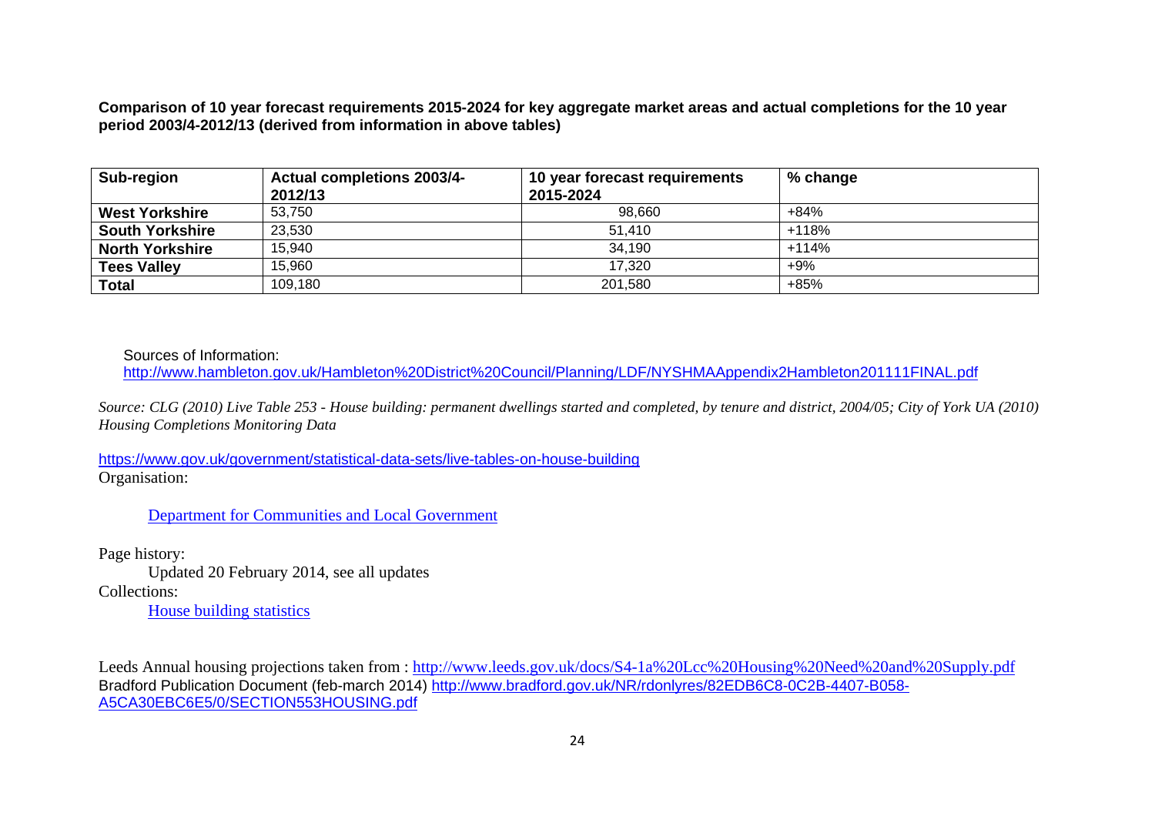**Comparison of 10 year forecast requirements 2015-2024 for key aggregate market areas and actual completions for the 10 year period 2003/4-2012/13 (derived from information in above tables)** 

| Sub-region             | <b>Actual completions 2003/4-</b><br>2012/13 | 10 year forecast requirements<br>2015-2024 | % change |
|------------------------|----------------------------------------------|--------------------------------------------|----------|
| <b>West Yorkshire</b>  | 53.750                                       | 98.660                                     | +84%     |
| <b>South Yorkshire</b> | 23,530                                       | 51,410                                     | $+118%$  |
| <b>North Yorkshire</b> | 15,940                                       | 34,190                                     | $+114%$  |
| <b>Tees Valley</b>     | 15,960                                       | 17.320                                     | $+9%$    |
| Total                  | 109,180                                      | 201,580                                    | $+85%$   |

Sources of Information:

http://www.hambleton.gov.uk/Hambleton%20District%20Council/Planning/LDF/NYSHMAAppendix2Hambleton201111FINAL.pdf

*Source: CLG (2010) Live Table 253 - House building: permanent dwellings started and completed, by tenure and district, 2004/05; City of York UA (2010) Housing Completions Monitoring Data* 

https://www.gov.uk/government/statistical-data-sets/live-tables-on-house-building Organisation:

Department for Communities and Local Government

Page history: Updated 20 February 2014, see all updates Collections:

House building statistics

Leeds Annual housing projections taken from : http://www.leeds.gov.uk/docs/S4-1a%20Lcc%20Housing%20Need%20and%20Supply.pdf Bradford Publication Document (feb-march 2014) http://www.bradford.gov.uk/NR/rdonlyres/82EDB6C8-0C2B-4407-B058- A5CA30EBC6E5/0/SECTION553HOUSING.pdf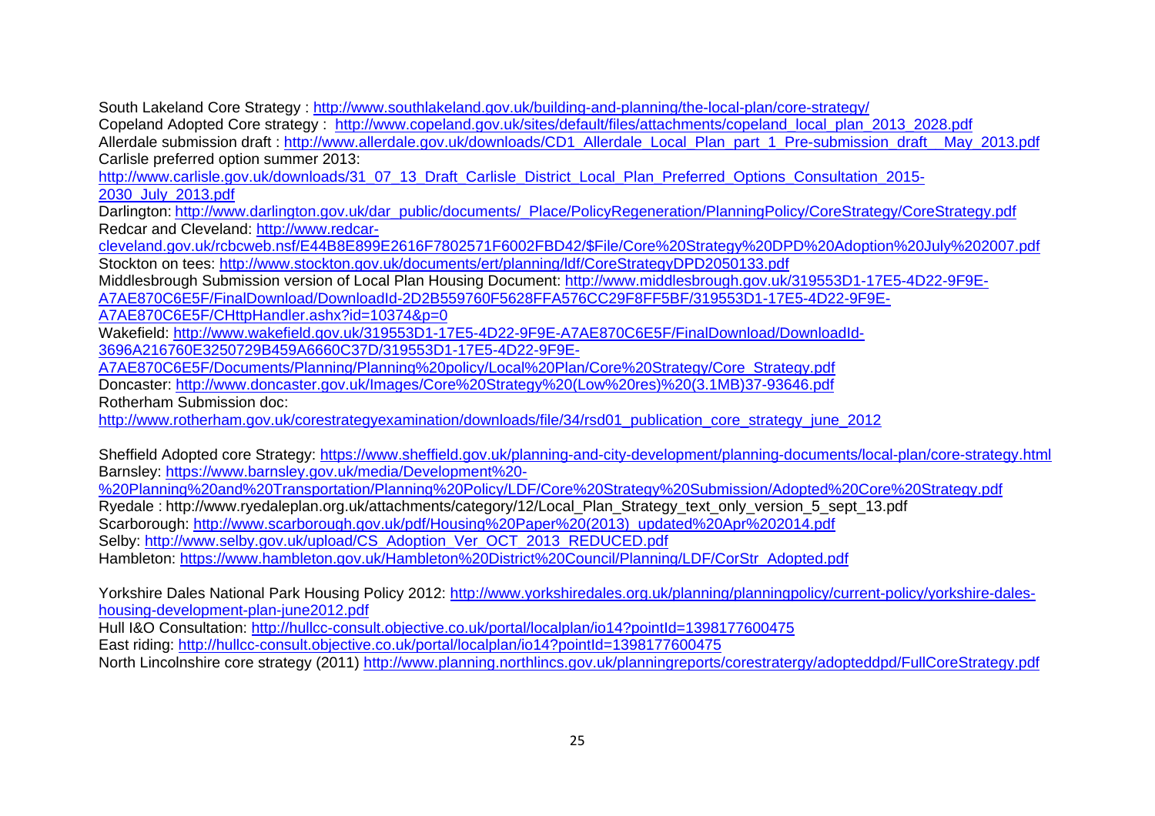South Lakeland Core Strategy : http://www.southlakeland.gov.uk/building-and-planning/the-local-plan/core-strategy/

Copeland Adopted Core strategy : http://www.copeland.gov.uk/sites/default/files/attachments/copeland\_local\_plan\_2013\_2028.pdf

Allerdale submission draft : http://www.allerdale.gov.uk/downloads/CD1\_Allerdale\_Local\_Plan\_part\_1\_Pre-submission\_draft\_\_May\_2013.pdf Carlisle preferred option summer 2013:

http://www.carlisle.gov.uk/downloads/31\_07\_13\_Draft\_Carlisle\_District\_Local\_Plan\_Preferred\_Options\_Consultation\_2015-2030\_July\_2013.pdf

Darlington: http://www.darlington.gov.uk/dar\_public/documents/\_Place/PolicyRegeneration/PlanningPolicy/CoreStrategy/CoreStrategy.pdf Redcar and Cleveland: http://www.redcar-

cleveland.gov.uk/rcbcweb.nsf/E44B8E899E2616F7802571F6002FBD42/\$File/Core%20Strategy%20DPD%20Adoption%20July%202007.pdf Stockton on tees: http://www.stockton.gov.uk/documents/ert/planning/ldf/CoreStrategyDPD2050133.pdf

Middlesbrough Submission version of Local Plan Housing Document: http://www.middlesbrough.gov.uk/319553D1-17E5-4D22-9F9E-A7AE870C6E5F/FinalDownload/DownloadId-2D2B559760F5628FFA576CC29F8FF5BF/319553D1-17E5-4D22-9F9E-

A7AE870C6E5F/CHttpHandler.ashx?id=10374&p=0

Wakefield: http://www.wakefield.gov.uk/319553D1-17E5-4D22-9F9E-A7AE870C6E5F/FinalDownload/DownloadId-

3696A216760E3250729B459A6660C37D/319553D1-17E5-4D22-9F9E-

A7AE870C6E5F/Documents/Planning/Planning%20policy/Local%20Plan/Core%20Strategy/Core\_Strategy.pdf

Doncaster: http://www.doncaster.gov.uk/Images/Core%20Strategy%20(Low%20res)%20(3.1MB)37-93646.pdf

Rotherham Submission doc:

http://www.rotherham.gov.uk/corestrategyexamination/downloads/file/34/rsd01\_publication\_core\_strategy\_june\_2012

Sheffield Adopted core Strategy: https://www.sheffield.gov.uk/planning-and-city-development/planning-documents/local-plan/core-strategy.html Barnsley: https://www.barnsley.gov.uk/media/Development%20-

%20Planning%20and%20Transportation/Planning%20Policy/LDF/Core%20Strategy%20Submission/Adopted%20Core%20Strategy.pdf

Ryedale : http://www.ryedaleplan.org.uk/attachments/category/12/Local\_Plan\_Strategy\_text\_only\_version\_5\_sept\_13.pdf

Scarborough: http://www.scarborough.gov.uk/pdf/Housing%20Paper%20(2013)\_updated%20Apr%202014.pdf

Selby: http://www.selby.gov.uk/upload/CS\_Adoption\_Ver\_OCT\_2013\_REDUCED.pdf

Hambleton: https://www.hambleton.gov.uk/Hambleton%20District%20Council/Planning/LDF/CorStr\_Adopted.pdf

Yorkshire Dales National Park Housing Policy 2012: http://www.yorkshiredales.org.uk/planning/planningpolicy/current-policy/yorkshire-daleshousing-development-plan-june2012.pdf

Hull I&O Consultation: http://hullcc-consult.objective.co.uk/portal/localplan/io14?pointId=1398177600475

East riding: http://hullcc-consult.objective.co.uk/portal/localplan/io14?pointId=1398177600475

North Lincolnshire core strategy (2011) http://www.planning.northlincs.gov.uk/planningreports/corestratergy/adopteddpd/FullCoreStrategy.pdf